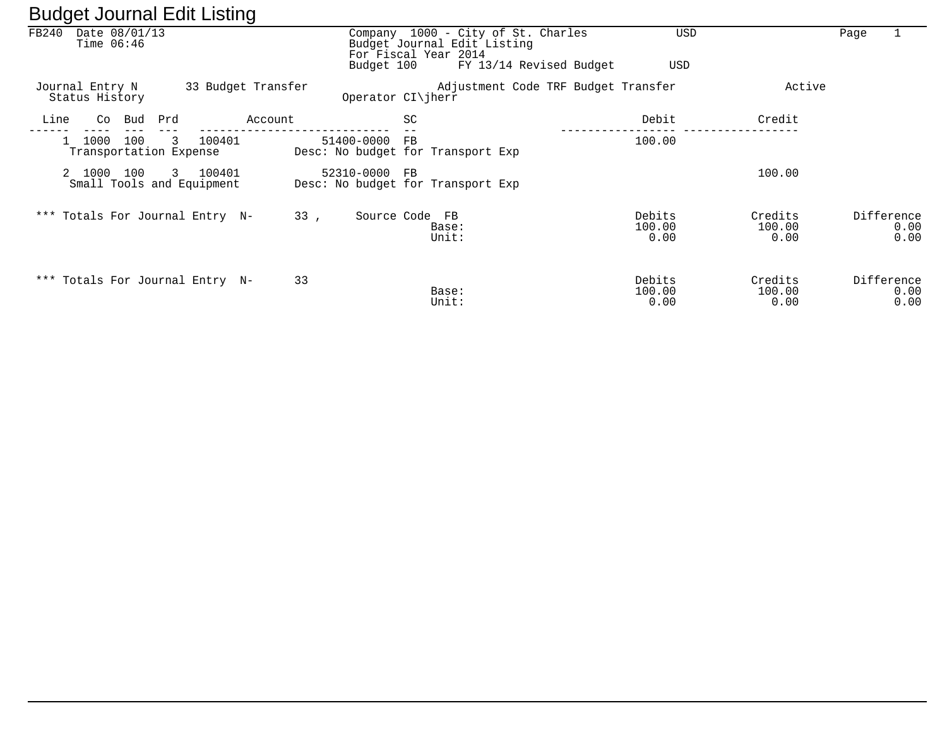|       | ັ                                 |     |     |                                       | ັ                  |               |                      |    |                                                                                           |                          |                           |      |                            |
|-------|-----------------------------------|-----|-----|---------------------------------------|--------------------|---------------|----------------------|----|-------------------------------------------------------------------------------------------|--------------------------|---------------------------|------|----------------------------|
| FB240 | Date 08/01/13<br>Time $06:46$     |     |     |                                       |                    |               |                      |    | Company 1000 - City of St. Charles<br>Budget Journal Edit Listing<br>For Fiscal Year 2014 | USD                      |                           | Page |                            |
|       |                                   |     |     |                                       |                    |               | Budget 100           |    | FY 13/14 Revised Budget                                                                   | USD                      |                           |      |                            |
|       | Journal Entry N<br>Status History |     |     |                                       | 33 Budget Transfer |               | Operator $CI\ $ herr |    | Adjustment Code TRF Budget Transfer                                                       |                          | Active                    |      |                            |
| Line  | Co                                | Bud | Prd |                                       | Account            |               |                      | SC |                                                                                           | Debit                    | Credit                    |      |                            |
|       | 1000<br>Transportation Expense    | 100 | 3   | 100401                                |                    | 51400-0000    |                      | FB | Desc: No budget for Transport Exp                                                         | 100.00                   |                           |      |                            |
|       | 2 1000 100                        |     |     | 3 100401<br>Small Tools and Equipment |                    | 52310-0000 FB |                      |    | Desc: No budget for Transport Exp                                                         |                          | 100.00                    |      |                            |
|       | *** Totals For Journal Entry N-   |     |     |                                       | 33,                |               | Source Code FB       |    | Base:<br>Unit:                                                                            | Debits<br>100.00<br>0.00 | Credits<br>100.00<br>0.00 |      | Difference<br>0.00<br>0.00 |
|       | *** Totals For Journal Entry N-   |     |     |                                       | 33                 |               |                      |    | Base:<br>Unit:                                                                            | Debits<br>100.00<br>0.00 | Credits<br>100.00<br>0.00 |      | Difference<br>0.00<br>0.00 |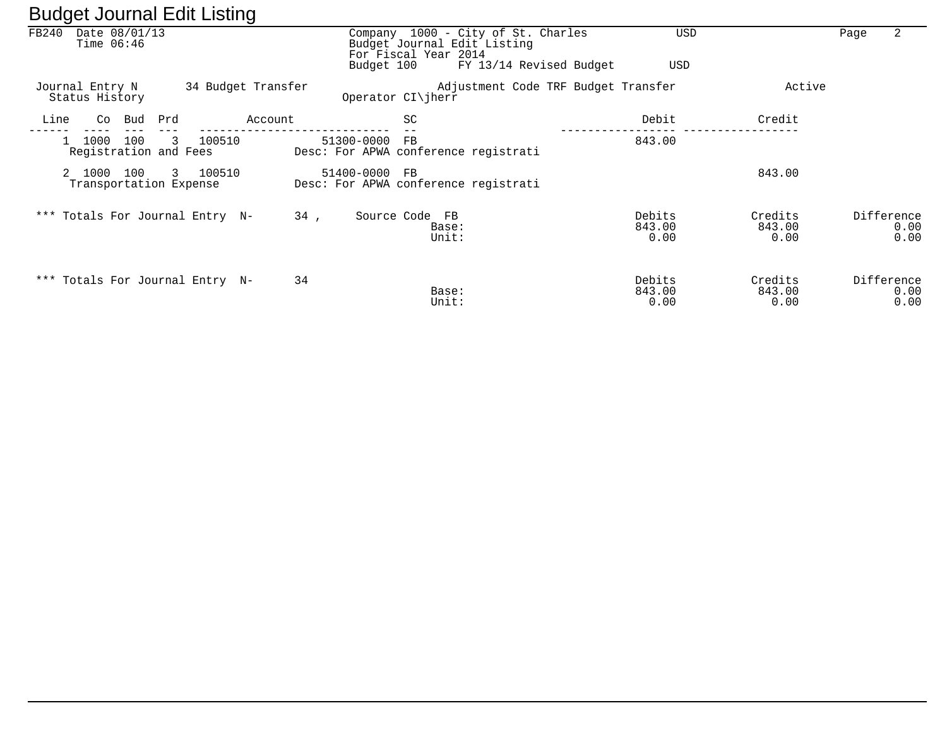|       |                                         | ີ                  |            |                                                                                           |                                     |                           |                            |
|-------|-----------------------------------------|--------------------|------------|-------------------------------------------------------------------------------------------|-------------------------------------|---------------------------|----------------------------|
| FB240 | Date 08/01/13<br>Time $06:46$           |                    |            | Company 1000 - City of St. Charles<br>Budget Journal Edit Listing<br>For Fiscal Year 2014 |                                     | <b>USD</b>                | 2<br>Page                  |
|       |                                         |                    |            | Budget 100                                                                                | FY 13/14 Revised Budget             | USD                       |                            |
|       | Journal Entry N<br>Status History       | 34 Budget Transfer |            | Operator CI\jherr                                                                         | Adjustment Code TRF Budget Transfer | Active                    |                            |
| Line  | Bud<br>Co                               | Prd                | Account    | SC                                                                                        | Debit                               | Credit                    |                            |
|       | 100<br>1000<br>Registration and Fees    | 3<br>100510        | 51300-0000 | FB<br>Desc: For APWA conference registrati                                                | 843.00                              |                           |                            |
|       | 2 1000<br>100<br>Transportation Expense | 3 100510           | 51400-0000 | FB.<br>Desc: For APWA conference registrati                                               |                                     | 843.00                    |                            |
|       | *** Totals For Journal Entry N-         |                    | 34,        | Source Code FB<br>Base:<br>Unit:                                                          | Debits<br>843.00<br>0.00            | Credits<br>843.00<br>0.00 | Difference<br>0.00<br>0.00 |
|       | *** Totals For Journal Entry N-         |                    | 34         | Base:<br>Unit:                                                                            | Debits<br>843.00<br>0.00            | Credits<br>843.00<br>0.00 | Difference<br>0.00<br>0.00 |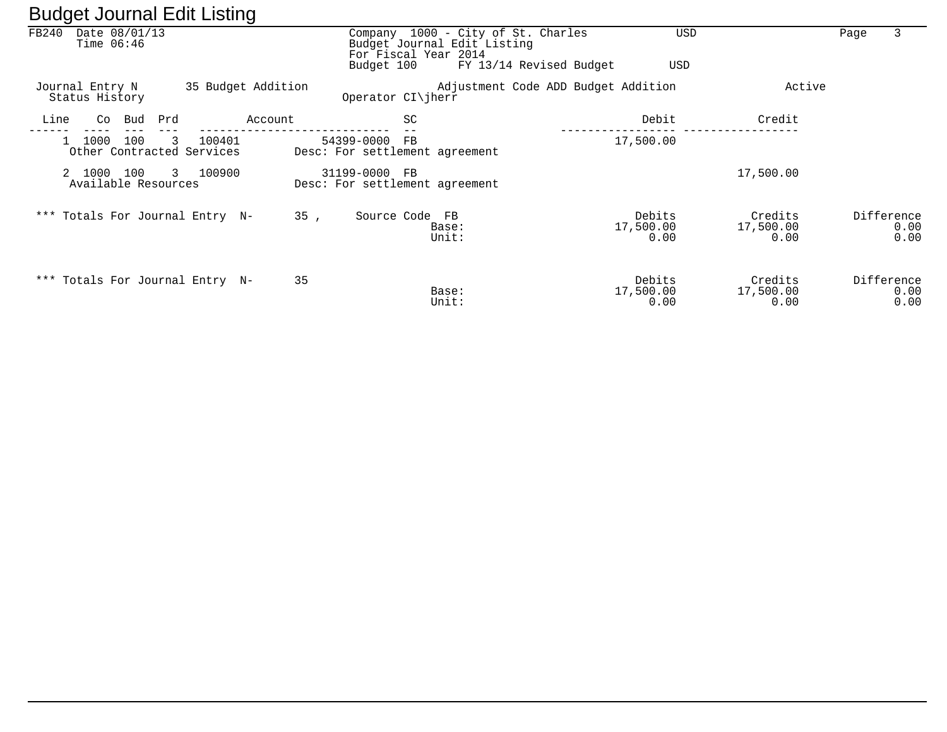| ັ     |                                   |     |              |                                     | ັ                  |                                                     |                                                                                           |                         |                                     |     |                              |      |                            |
|-------|-----------------------------------|-----|--------------|-------------------------------------|--------------------|-----------------------------------------------------|-------------------------------------------------------------------------------------------|-------------------------|-------------------------------------|-----|------------------------------|------|----------------------------|
| FB240 | Date 08/01/13<br>Time $06:46$     |     |              |                                     |                    |                                                     | Company 1000 - City of St. Charles<br>Budget Journal Edit Listing<br>For Fiscal Year 2014 |                         |                                     | USD |                              | Page | 3                          |
|       |                                   |     |              |                                     |                    | Budget 100                                          |                                                                                           | FY 13/14 Revised Budget |                                     | USD |                              |      |                            |
|       | Journal Entry N<br>Status History |     |              |                                     | 35 Budget Addition | Operator CI\jherr                                   |                                                                                           |                         | Adjustment Code ADD Budget Addition |     | Active                       |      |                            |
| Line  | Co                                | Bud | Prd          |                                     | Account            | SC                                                  |                                                                                           |                         | Debit                               |     | Credit                       |      |                            |
|       | 1000                              | 100 | 3            | 100401<br>Other Contracted Services |                    | 54399-0000<br>FB.<br>Desc: For settlement agreement |                                                                                           |                         | 17,500.00                           |     |                              |      |                            |
|       | 2 1000<br>Available Resources     | 100 | $\mathbf{3}$ | 100900                              |                    | 31199-0000<br>FB.<br>Desc: For settlement agreement |                                                                                           |                         |                                     |     | 17,500.00                    |      |                            |
|       |                                   |     |              | *** Totals For Journal Entry N-     | 35,                | Source Code FB                                      | Base:<br>Unit:                                                                            |                         | Debits<br>17,500.00<br>0.00         |     | Credits<br>17,500.00<br>0.00 |      | Difference<br>0.00<br>0.00 |
|       |                                   |     |              | *** Totals For Journal Entry N-     | 35                 |                                                     | Base:<br>Unit:                                                                            |                         | Debits<br>17,500.00<br>0.00         |     | Credits<br>17,500.00<br>0.00 |      | Difference<br>0.00<br>0.00 |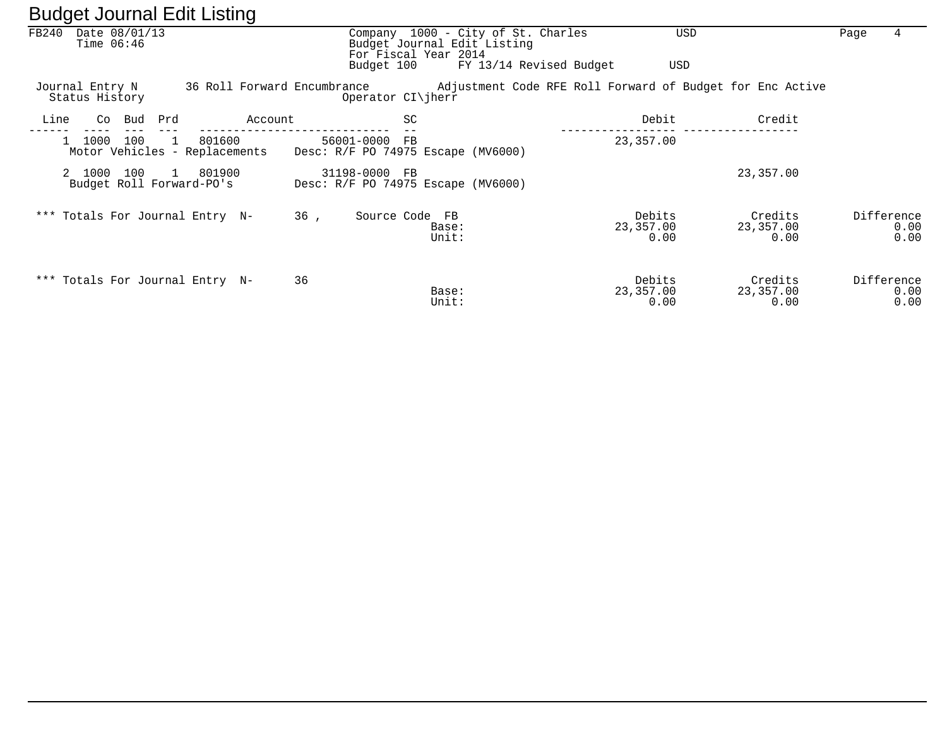| FB240<br>Date 08/01/13<br>Time $06:46$ |                                                           |                             | Company 1000 - City of St. Charles<br>Budget Journal Edit Listing<br>For Fiscal Year 2014<br>Budget 100 | USD<br>FY 13/14 Revised Budget<br>USD                     |                              | 4<br>Page                  |
|----------------------------------------|-----------------------------------------------------------|-----------------------------|---------------------------------------------------------------------------------------------------------|-----------------------------------------------------------|------------------------------|----------------------------|
| Journal Entry N<br>Status History      |                                                           | 36 Roll Forward Encumbrance | Operator CI\jherr                                                                                       | Adjustment Code RFE Roll Forward of Budget for Enc Active |                              |                            |
| Line<br>Co Bud                         | Prd<br>Account                                            |                             | SC                                                                                                      | Debit                                                     | Credit                       |                            |
| 1000<br>100<br>$\mathbf{1}$            | 801600<br>$\overline{1}$<br>Motor Vehicles - Replacements | 56001-0000 FB               | Desc: R/F PO 74975 Escape (MV6000)                                                                      | 23,357.00                                                 |                              |                            |
| 100<br>2 1000                          | 801900<br>$\mathbf{1}$<br>Budget Roll Forward-PO's        | 31198-0000 FB               | Desc: R/F PO 74975 Escape (MV6000)                                                                      |                                                           | 23,357.00                    |                            |
|                                        | *** Totals For Journal Entry N-                           | 36,                         | Source Code FB<br>Base:<br>Unit:                                                                        | Debits<br>23,357.00<br>0.00                               | Credits<br>23,357.00<br>0.00 | Difference<br>0.00<br>0.00 |
|                                        | *** Totals For Journal Entry N-                           | 36                          | Base:<br>Unit:                                                                                          | Debits<br>23,357.00<br>0.00                               | Credits<br>23,357.00<br>0.00 | Difference<br>0.00<br>0.00 |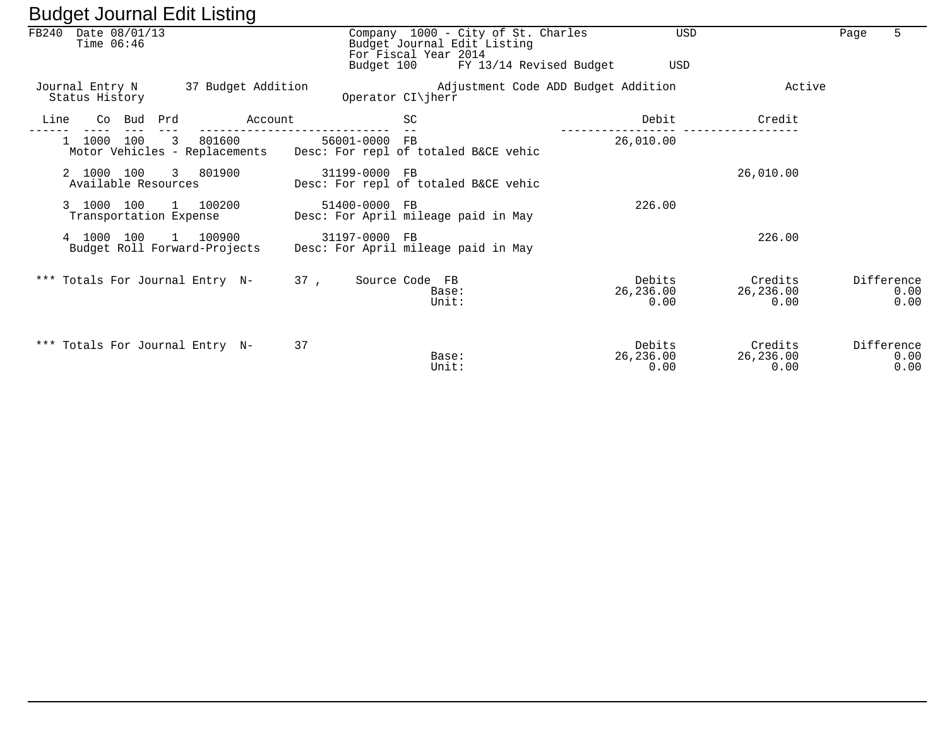| ັ                                                                        |                                                                                                                                    |                             |                              |                            |
|--------------------------------------------------------------------------|------------------------------------------------------------------------------------------------------------------------------------|-----------------------------|------------------------------|----------------------------|
| FB240<br>Date 08/01/13<br>Time $06:46$                                   | Company 1000 - City of St. Charles<br>Budget Journal Edit Listing<br>For Fiscal Year 2014<br>FY 13/14 Revised Budget<br>Budget 100 | USD<br>USD                  |                              | Page<br>5                  |
| 37 Budget Addition<br>Journal Entry N<br>Status History                  | Adjustment Code ADD Budget Addition<br>Operator CI\jherr                                                                           |                             | Active                       |                            |
| Line<br>Co Bud Prd<br>Account                                            | SC                                                                                                                                 | Debit                       | Credit                       |                            |
| 100<br>801600<br>$\overline{3}$<br>1000<br>Motor Vehicles - Replacements | 56001-0000 FB<br>Desc: For repl of totaled B&CE vehic                                                                              | 26,010.00                   |                              |                            |
| 2 1000 100<br>3 801900<br>Available Resources                            | 31199-0000 FB<br>Desc: For repl of totaled B&CE vehic                                                                              |                             | 26,010.00                    |                            |
| 1 100200<br>3 1000 100<br>Transportation Expense                         | 51400-0000 FB<br>Desc: For April mileage paid in May                                                                               | 226.00                      |                              |                            |
| 100<br>1 100900<br>4 1000<br>Budget Roll Forward-Projects                | 31197-0000 FB<br>Desc: For April mileage paid in May                                                                               |                             | 226.00                       |                            |
| *** Totals For Journal Entry N-                                          | 37.<br>Source Code FB<br>Base:<br>Unit:                                                                                            | Debits<br>26,236.00<br>0.00 | Credits<br>26,236.00<br>0.00 | Difference<br>0.00<br>0.00 |
| *** Totals For Journal Entry N-                                          | 37<br>Base:<br>Unit:                                                                                                               | Debits<br>26,236.00<br>0.00 | Credits<br>26,236.00<br>0.00 | Difference<br>0.00<br>0.00 |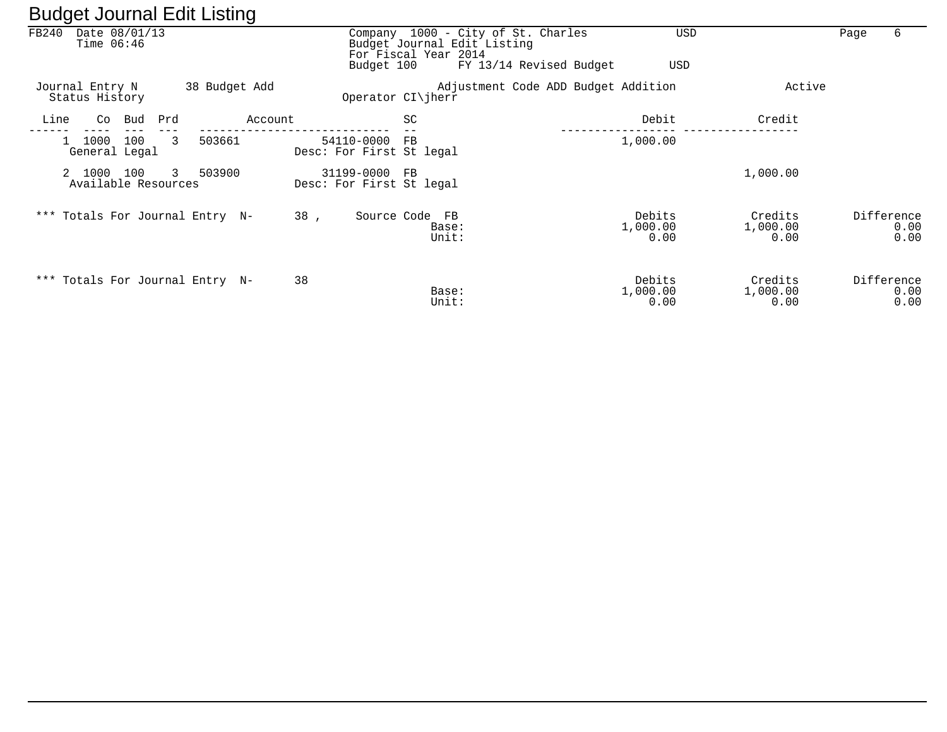|       |                                   |     |     |               | ີ       |     |                                           |             |                                                                                                                      |  |                            |                             |      |                            |
|-------|-----------------------------------|-----|-----|---------------|---------|-----|-------------------------------------------|-------------|----------------------------------------------------------------------------------------------------------------------|--|----------------------------|-----------------------------|------|----------------------------|
| FB240 | Date 08/01/13<br>Time $06:46$     |     |     |               |         |     | Budget 100                                |             | Company 1000 - City of St. Charles<br>Budget Journal Edit Listing<br>For Fiscal Year 2014<br>FY 13/14 Revised Budget |  | <b>USD</b><br>USD          |                             | Page | 6                          |
|       | Journal Entry N<br>Status History |     |     | 38 Budget Add |         |     | Operator $CI\ $ herr                      |             | Adjustment Code ADD Budget Addition                                                                                  |  |                            | Active                      |      |                            |
| Line  | Co                                | Bud | Prd |               | Account |     |                                           | SC          |                                                                                                                      |  | Debit                      | Credit                      |      |                            |
|       | 1000<br>General Legal             | 100 | 3   | 503661        |         |     | 54110-0000<br>Desc: For First St legal    | $_{\rm FB}$ |                                                                                                                      |  | 1,000.00                   |                             |      |                            |
|       | 2 1000<br>Available Resources     | 100 | 3   | 503900        |         |     | 31199-0000 FB<br>Desc: For First St legal |             |                                                                                                                      |  |                            | 1,000.00                    |      |                            |
|       | *** Totals For Journal Entry N-   |     |     |               |         | 38, |                                           |             | Source Code FB<br>Base:<br>Unit:                                                                                     |  | Debits<br>1,000.00<br>0.00 | Credits<br>1,000.00<br>0.00 |      | Difference<br>0.00<br>0.00 |
|       | *** Totals For Journal Entry N-   |     |     |               |         | 38  |                                           |             | Base:<br>Unit:                                                                                                       |  | Debits<br>1,000.00<br>0.00 | Credits<br>1,000.00<br>0.00 |      | Difference<br>0.00<br>0.00 |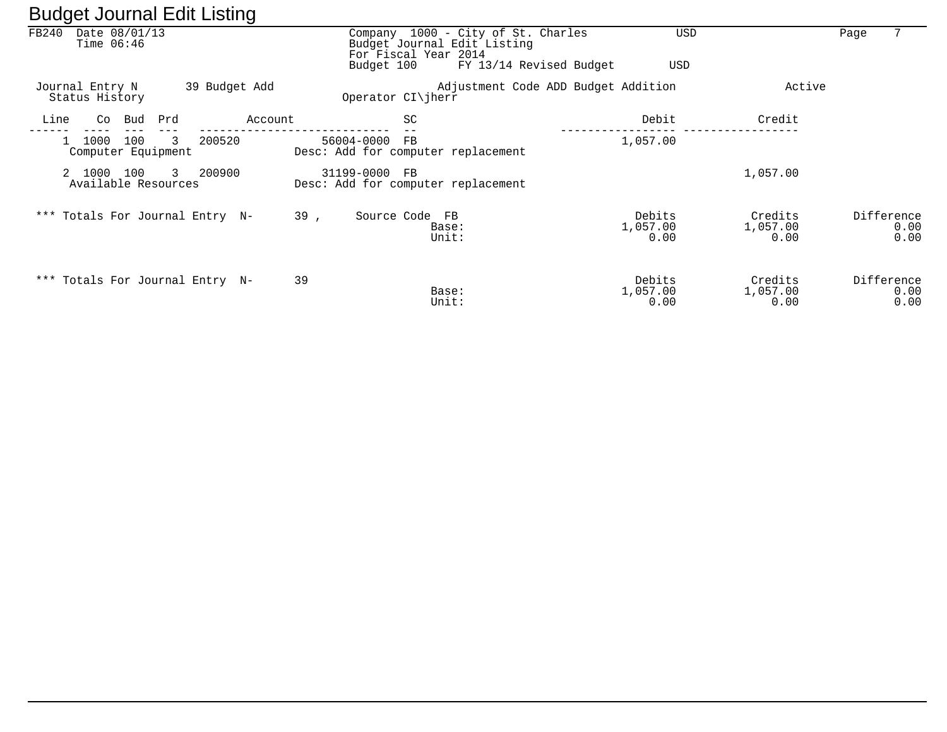| ັ     |                                      |     | ັ             |               |                                                                                           |                                     |                            |                             |            |              |
|-------|--------------------------------------|-----|---------------|---------------|-------------------------------------------------------------------------------------------|-------------------------------------|----------------------------|-----------------------------|------------|--------------|
| FB240 | Date 08/01/13<br>Time $06:46$        |     |               |               | Company 1000 - City of St. Charles<br>Budget Journal Edit Listing<br>For Fiscal Year 2014 |                                     | USD                        |                             | Page       | 7            |
|       |                                      |     |               |               | Budget 100                                                                                | FY 13/14 Revised Budget             | USD                        |                             |            |              |
|       | Journal Entry N<br>Status History    |     | 39 Budget Add |               | Operator $CI\$ iherr                                                                      | Adjustment Code ADD Budget Addition |                            | Active                      |            |              |
| Line  | Bud<br>Co                            | Prd | Account       |               | SC                                                                                        |                                     | Debit                      | Credit                      |            |              |
|       | 100<br>1000<br>Computer Equipment    | 3   | 200520        | 56004-0000    | FB<br>Desc: Add for computer replacement                                                  |                                     | 1,057.00                   |                             |            |              |
|       | 2 1000<br>100<br>Available Resources | 3   | 200900        | 31199-0000 FB | Desc: Add for computer replacement                                                        |                                     |                            | 1,057.00                    |            |              |
|       | *** Totals For Journal Entry N-      |     |               | 39,           | Source Code FB<br>Base:<br>Unit:                                                          |                                     | Debits<br>1,057.00<br>0.00 | Credits<br>1,057.00<br>0.00 | Difference | 0.00<br>0.00 |
|       | *** Totals For Journal Entry N-      |     |               | 39            | Base:<br>Unit:                                                                            |                                     | Debits<br>1,057.00<br>0.00 | Credits<br>1,057.00<br>0.00 | Difference | 0.00<br>0.00 |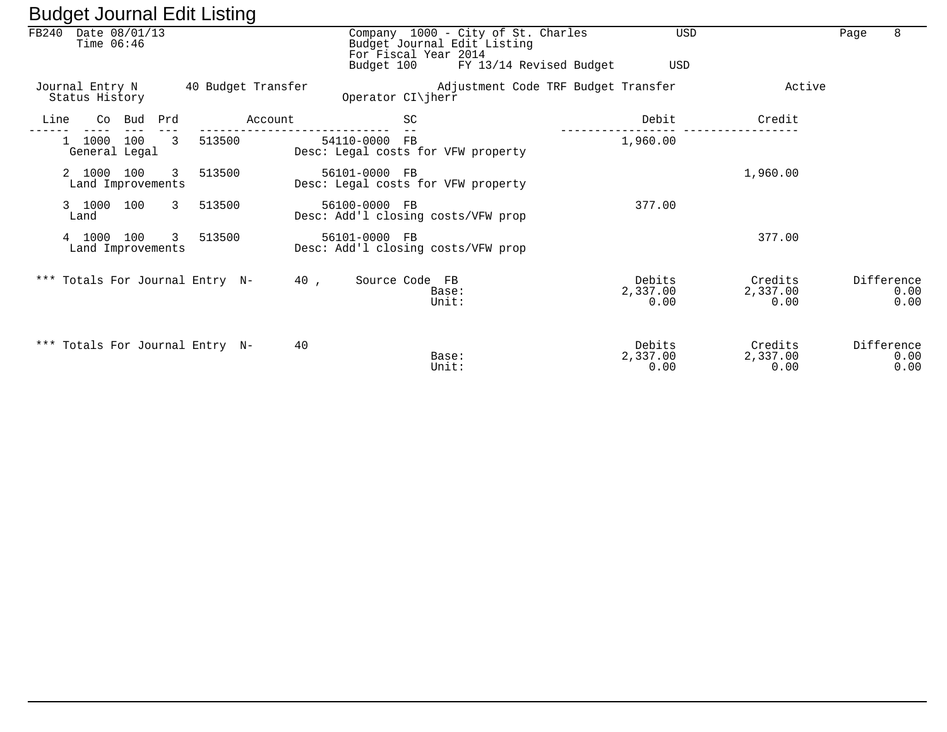|      | FB240 Date 08/01/13<br>Time $06:46$ |        |              |                                 |                    | For Fiscal Year 2014<br>Budget 100 | Company 1000 - City of St. Charles<br>Budget Journal Edit Listing | FY 13/14 Revised Budget | <b>USD</b><br>USD          |                             | Page | 8                          |
|------|-------------------------------------|--------|--------------|---------------------------------|--------------------|------------------------------------|-------------------------------------------------------------------|-------------------------|----------------------------|-----------------------------|------|----------------------------|
|      | Journal Entry N<br>Status History   |        |              |                                 | 40 Budget Transfer | Operator CI\jherr                  | Adjustment Code TRF Budget Transfer                               |                         |                            | Active                      |      |                            |
| Line |                                     | Co Bud | Prd          |                                 | Account            | <b>SC</b>                          |                                                                   |                         | Debit                      | Credit                      |      |                            |
|      | 1000<br>General Legal               | 100    | 3            | 513500                          |                    | 54110-0000 FB                      | Desc: Legal costs for VFW property                                |                         | 1,960.00                   |                             |      |                            |
|      | 2 1000 100<br>Land Improvements     |        | $\mathbf{3}$ | 513500                          |                    | 56101-0000 FB                      | Desc: Legal costs for VFW property                                |                         |                            | 1,960.00                    |      |                            |
|      | 3 1000 100<br>Land                  |        |              | 3 513500                        |                    | 56100-0000 FB                      | Desc: Add'l closing costs/VFW prop                                |                         | 377.00                     |                             |      |                            |
|      | 4 1000<br>Land Improvements         | 100    | 3            | 513500                          |                    | 56101-0000 FB                      | Desc: Add'l closing costs/VFW prop                                |                         |                            | 377.00                      |      |                            |
|      |                                     |        |              | *** Totals For Journal Entry N- | 40,                | Source Code FB                     | Base:<br>Unit:                                                    |                         | Debits<br>2,337.00<br>0.00 | Credits<br>2,337.00<br>0.00 |      | Difference<br>0.00<br>0.00 |
|      |                                     |        |              | *** Totals For Journal Entry N- | 40                 |                                    | Base:<br>Unit:                                                    |                         | Debits<br>2,337.00<br>0.00 | Credits<br>2,337.00<br>0.00 |      | Difference<br>0.00<br>0.00 |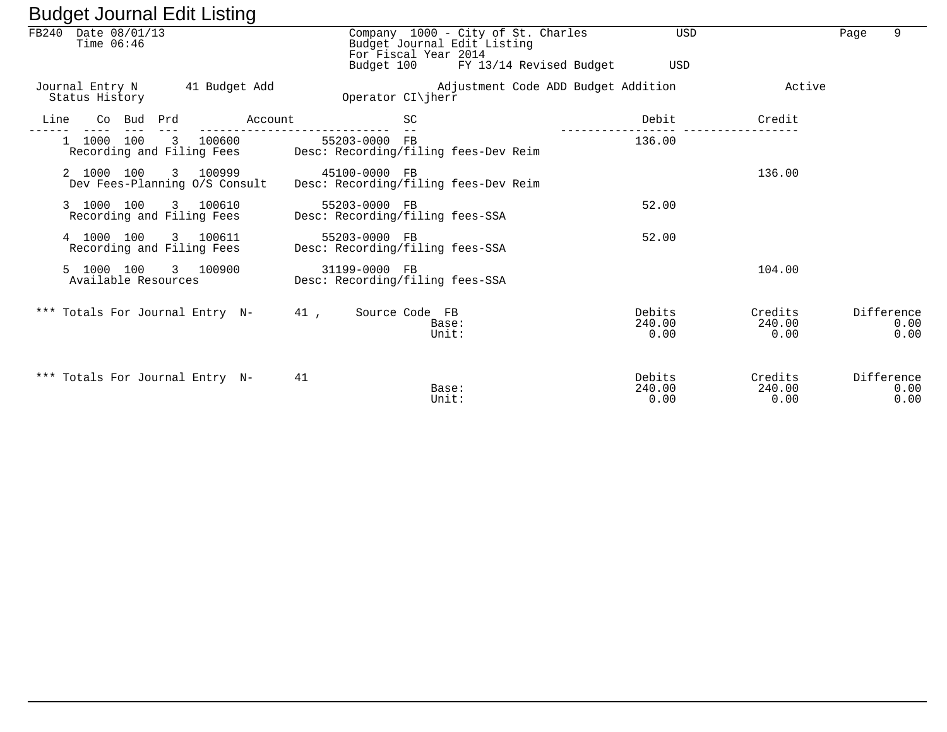| FB240 Date 08/01/13<br>Time $06:46$                  | Company 1000 - City of St. Charles<br>Budget Journal Edit Listing               | <b>USD</b>               |                           | 9<br>Page                  |
|------------------------------------------------------|---------------------------------------------------------------------------------|--------------------------|---------------------------|----------------------------|
|                                                      | For Fiscal Year 2014<br>Budget 100 FY 13/14 Revised Budget                      | USD                      |                           |                            |
| Journal Entry N 41 Budget Add<br>Status History      | Adjustment Code ADD Budget Addition<br>Operator CI\jherr                        |                          | Active                    |                            |
| Co Bud Prd<br>Line<br>Account                        | <b>SC</b>                                                                       | Debit                    | Credit                    |                            |
| 1 1000 100 3 100600                                  | 55203-0000 FB<br>Recording and Filing Fees Desc: Recording/filing fees-Dev Reim | 136.00                   |                           |                            |
| 2 1000 100 3 100999<br>Dev Fees-Planning O/S Consult | 45100-0000 FB<br>Desc: Recording/filing fees-Dev Reim                           |                          | 136.00                    |                            |
| 3 1000 100<br>3 100610<br>Recording and Filing Fees  | 55203-0000 FB<br>Desc: Recording/filing fees-SSA                                | 52.00                    |                           |                            |
| 4 1000 100<br>3 100611<br>Recording and Filing Fees  | 55203-0000 FB<br>Desc: Recording/filing fees-SSA                                | 52.00                    |                           |                            |
| 5 1000 100<br>3 100900<br>Available Resources        | 31199-0000 FB<br>Desc: Recording/filing fees-SSA                                |                          | 104.00                    |                            |
| *** Totals For Journal Entry N-                      | 41,<br>Source Code FB<br>Base:<br>Unit:                                         | Debits<br>240.00<br>0.00 | Credits<br>240.00<br>0.00 | Difference<br>0.00<br>0.00 |
| *** Totals For Journal Entry N-                      | 41<br>Base:<br>Unit:                                                            | Debits<br>240.00<br>0.00 | Credits<br>240.00<br>0.00 | Difference<br>0.00<br>0.00 |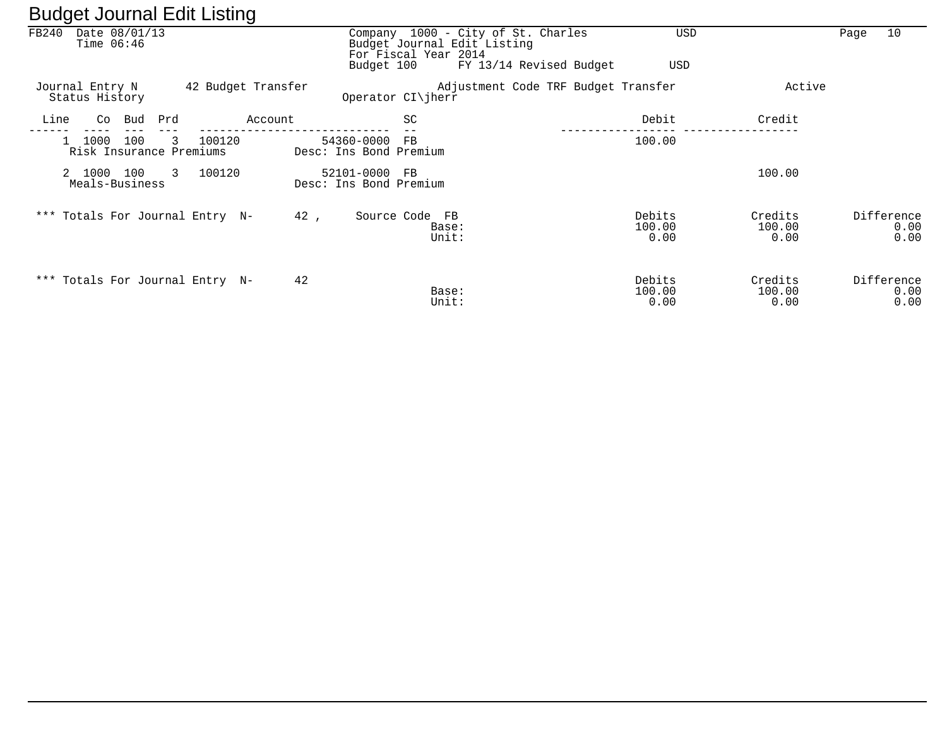| ີ                                      | ີ                  |                                         |                                                                                                                      |                                     |                           |                            |
|----------------------------------------|--------------------|-----------------------------------------|----------------------------------------------------------------------------------------------------------------------|-------------------------------------|---------------------------|----------------------------|
| FB240<br>Date 08/01/13<br>Time $06:46$ |                    | Budget 100                              | Company 1000 - City of St. Charles<br>Budget Journal Edit Listing<br>For Fiscal Year 2014<br>FY 13/14 Revised Budget | <b>USD</b><br>USD                   |                           | 10<br>Page                 |
| Journal Entry N<br>Status History      | 42 Budget Transfer |                                         | Operator $CI\ $ herr                                                                                                 | Adjustment Code TRF Budget Transfer | Active                    |                            |
| Bud<br>Line<br>Co                      | Prd<br>Account     |                                         | SC                                                                                                                   | Debit                               | Credit                    |                            |
| 1000<br>100<br>Risk Insurance Premiums | 100120<br>3        | 54360-0000<br>Desc: Ins Bond Premium    | FB.                                                                                                                  | 100.00                              |                           |                            |
| 2 1000 100<br>Meals-Business           | 3<br>100120        | 52101-0000 FB<br>Desc: Ins Bond Premium |                                                                                                                      |                                     | 100.00                    |                            |
| *** Totals For Journal Entry N-        |                    | 42,                                     | Source Code FB<br>Base:<br>Unit:                                                                                     | Debits<br>100.00<br>0.00            | Credits<br>100.00<br>0.00 | Difference<br>0.00<br>0.00 |
| *** Totals For Journal Entry N-        |                    | 42                                      | Base:<br>Unit:                                                                                                       | Debits<br>100.00<br>0.00            | Credits<br>100.00<br>0.00 | Difference<br>0.00<br>0.00 |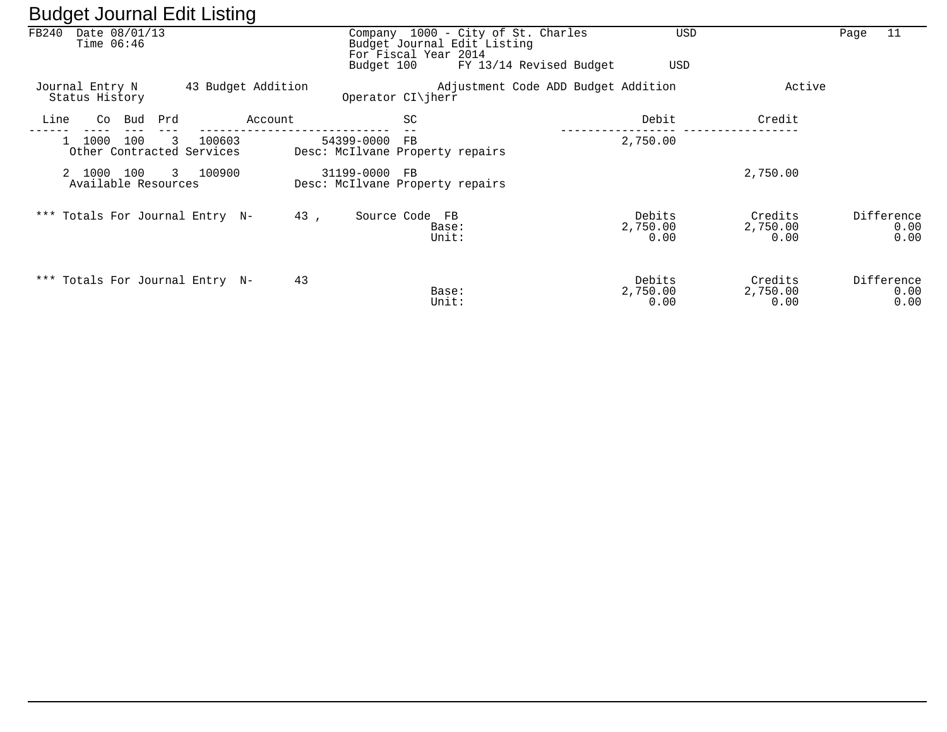| ັ                                        | ັ                  |                                                     |                                                                   |                            |                             |                            |
|------------------------------------------|--------------------|-----------------------------------------------------|-------------------------------------------------------------------|----------------------------|-----------------------------|----------------------------|
| FB240<br>Date 08/01/13<br>Time $06:46$   |                    | For Fiscal Year 2014                                | Company 1000 - City of St. Charles<br>Budget Journal Edit Listing | USD                        |                             | 11<br>Page                 |
|                                          |                    | Budget 100                                          | FY 13/14 Revised Budget                                           | USD                        |                             |                            |
| Journal Entry N<br>Status History        | 43 Budget Addition | Operator CI\jherr                                   | Adjustment Code ADD Budget Addition                               |                            | Active                      |                            |
| Bud<br>Line<br>Co                        | Prd<br>Account     | SC                                                  |                                                                   | Debit                      | Credit                      |                            |
| 1000<br>100<br>Other Contracted Services | 100603<br>3        | 54399-0000<br>FB<br>Desc: McIlvane Property repairs |                                                                   | 2,750.00                   |                             |                            |
| 2 1000<br>100<br>Available Resources     | 3 100900           | 31199-0000 FB<br>Desc: McIlvane Property repairs    |                                                                   |                            | 2,750.00                    |                            |
| *** Totals For Journal Entry N-          |                    | 43,<br>Source Code FB                               | Base:<br>Unit:                                                    | Debits<br>2,750.00<br>0.00 | Credits<br>2,750.00<br>0.00 | Difference<br>0.00<br>0.00 |
| *** Totals For Journal Entry N-          |                    | 43                                                  | Base:<br>Unit:                                                    | Debits<br>2,750.00<br>0.00 | Credits<br>2,750.00<br>0.00 | Difference<br>0.00<br>0.00 |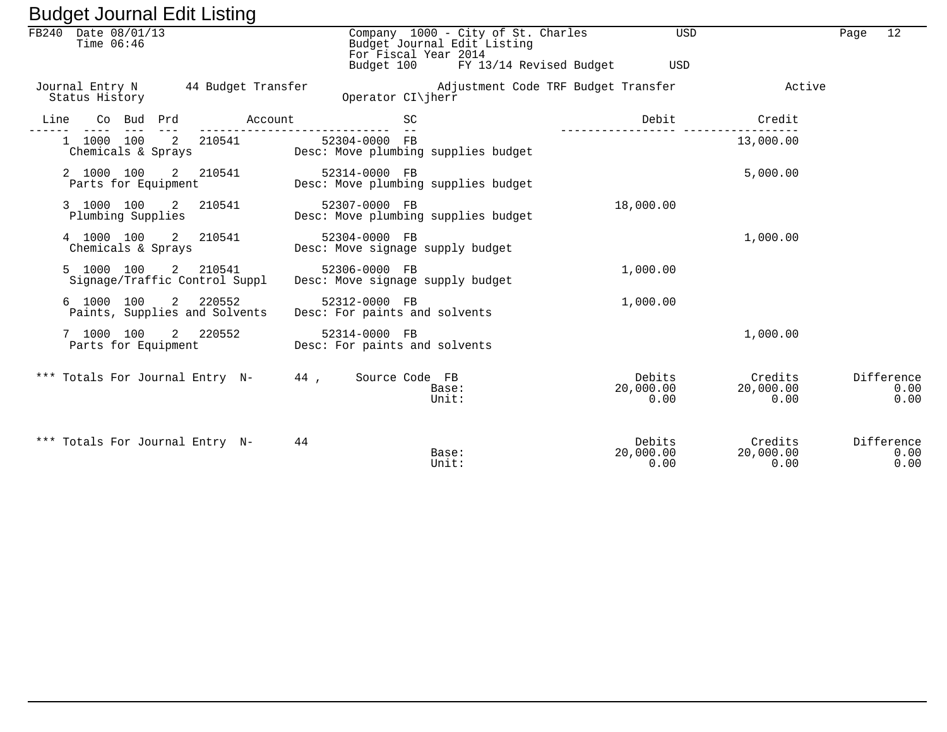| Daugot obannar Euit Eisting                                                                                                                                                                                                                                                                                                                                                                                                     |                                                |                                                                                           |                                     |                              |                            |
|---------------------------------------------------------------------------------------------------------------------------------------------------------------------------------------------------------------------------------------------------------------------------------------------------------------------------------------------------------------------------------------------------------------------------------|------------------------------------------------|-------------------------------------------------------------------------------------------|-------------------------------------|------------------------------|----------------------------|
| FB240 Date 08/01/13<br>Time $06:46$                                                                                                                                                                                                                                                                                                                                                                                             |                                                | Company 1000 - City of St. Charles<br>Budget Journal Edit Listing<br>For Fiscal Year 2014 | USD                                 |                              | 12<br>Page                 |
|                                                                                                                                                                                                                                                                                                                                                                                                                                 |                                                | Budget 100 FY 13/14 Revised Budget                                                        | USD                                 |                              |                            |
| Journal Entry N 44 Budget Transfer<br>Status History                                                                                                                                                                                                                                                                                                                                                                            |                                                | Operator CI\jherr                                                                         | Adjustment Code TRF Budget Transfer | Active                       |                            |
| Line<br>Co Bud Prd      Account<br>$\frac{1}{2} \frac{1}{2} \frac{1}{2} \frac{1}{2} \frac{1}{2} \frac{1}{2} \frac{1}{2} \frac{1}{2} \frac{1}{2} \frac{1}{2} \frac{1}{2} \frac{1}{2} \frac{1}{2} \frac{1}{2} \frac{1}{2} \frac{1}{2} \frac{1}{2} \frac{1}{2} \frac{1}{2} \frac{1}{2} \frac{1}{2} \frac{1}{2} \frac{1}{2} \frac{1}{2} \frac{1}{2} \frac{1}{2} \frac{1}{2} \frac{1}{2} \frac{1}{2} \frac{1}{2} \frac{1}{2} \frac{$ | ---------------------------                    | <b>SC</b>                                                                                 | Debit                               | Credit                       |                            |
| 1 1000 100 2 210541<br>Chemicals & Sprays                                                                                                                                                                                                                                                                                                                                                                                       | 52304-0000 FB                                  | Desc: Move plumbing supplies budget                                                       |                                     | 13,000.00                    |                            |
| 2 1000 100 2 210541<br>Parts for Equipment                                                                                                                                                                                                                                                                                                                                                                                      | 52314-0000 FB                                  | Desc: Move plumbing supplies budget                                                       |                                     | 5,000.00                     |                            |
| 3 1000 100 2 210541<br>Plumbing Supplies                                                                                                                                                                                                                                                                                                                                                                                        | 52307-0000 FB                                  | Desc: Move plumbing supplies budget                                                       | 18,000.00                           |                              |                            |
| 4 1000 100<br>2 210541<br>Chemicals & Sprays                                                                                                                                                                                                                                                                                                                                                                                    | 52304-0000 FB                                  | Desc: Move signage supply budget                                                          |                                     | 1,000.00                     |                            |
| 5 1000 100<br>2 210541<br>Signage/Traffic Control Suppl                                                                                                                                                                                                                                                                                                                                                                         | 52306-0000 FB                                  | Desc: Move signage supply budget                                                          | 1,000.00                            |                              |                            |
| 6 1000 100<br>2 220552<br>Paints, Supplies and Solvents                                                                                                                                                                                                                                                                                                                                                                         | 52312-0000 FB<br>Desc: For paints and solvents |                                                                                           | 1,000.00                            |                              |                            |
| 7 1000 100<br>2 220552<br>Parts for Equipment                                                                                                                                                                                                                                                                                                                                                                                   | 52314-0000 FB<br>Desc: For paints and solvents |                                                                                           |                                     | 1,000.00                     |                            |
| *** Totals For Journal Entry N- 44, Source Code FB                                                                                                                                                                                                                                                                                                                                                                              |                                                | Base:<br>Unit:                                                                            | Debits<br>20,000.00<br>0.00         | Credits<br>20,000.00<br>0.00 | Difference<br>0.00<br>0.00 |
| *** Totals For Journal Entry N-                                                                                                                                                                                                                                                                                                                                                                                                 | 44                                             | Base:<br>Unit:                                                                            | Debits<br>20,000.00<br>0.00         | Credits<br>20,000.00<br>0.00 | Difference<br>0.00<br>0.00 |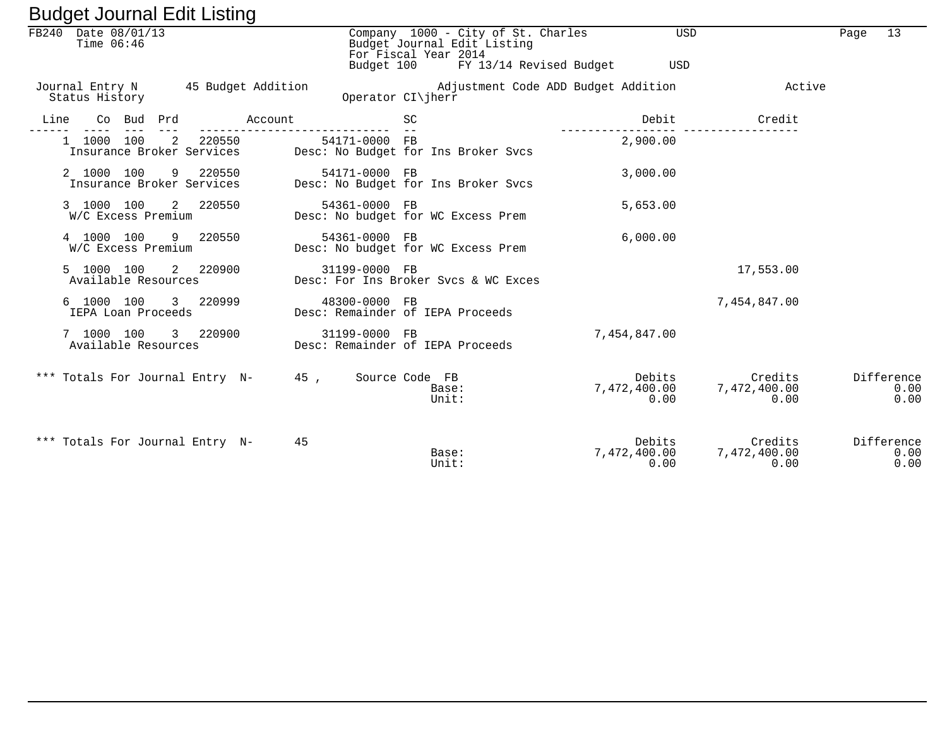|      |                                     | Daugot Joannar Ealt Libinig        |                                                    |               |                                                                                           |                                       |                                 |      |                            |
|------|-------------------------------------|------------------------------------|----------------------------------------------------|---------------|-------------------------------------------------------------------------------------------|---------------------------------------|---------------------------------|------|----------------------------|
|      | FB240 Date 08/01/13<br>Time $06:46$ |                                    |                                                    |               | Company 1000 - City of St. Charles<br>Budget Journal Edit Listing<br>For Fiscal Year 2014 | USD                                   |                                 | Page | 13                         |
|      |                                     |                                    |                                                    |               | Budget 100 FY 13/14 Revised Budget                                                        | USD                                   |                                 |      |                            |
|      | Status History                      | Journal Entry N 45 Budget Addition |                                                    |               | Adjustment Code ADD Budget Addition<br>Operator CI\jherr                                  |                                       | Active                          |      |                            |
| Line | Co Bud Prd                          |                                    | Account                                            |               | SC                                                                                        | Debit                                 | Credit                          |      |                            |
|      | $- - - -$<br>1 1000 100             | $---$<br>2 220550                  |                                                    | 54171-0000 FB | Insurance Broker Services Desc: No Budget for Ins Broker Svcs                             | 2,900.00                              |                                 |      |                            |
|      | 2 1000 100                          |                                    |                                                    |               |                                                                                           | 3,000.00                              |                                 |      |                            |
|      | W/C Excess Premium                  | 3 1000 100 2 220550                |                                                    | 54361-0000 FB | Desc: No budget for WC Excess Prem                                                        | 5,653.00                              |                                 |      |                            |
|      | W/C Excess Premium                  | 4 1000 100 9 220550                |                                                    | 54361-0000 FB | Desc: No budget for WC Excess Prem                                                        | 6,000.00                              |                                 |      |                            |
|      | 5 1000 100<br>Available Resources   | 2 220900                           |                                                    | 31199-0000 FB | Desc: For Ins Broker Sycs & WC Exces                                                      |                                       | 17,553.00                       |      |                            |
|      | IEPA Loan Proceeds                  | 6 1000 100 3 220999                |                                                    | 48300-0000 FB | Desc: Remainder of IEPA Proceeds                                                          |                                       | 7,454,847.00                    |      |                            |
|      | 7 1000 100                          | 3 220900<br>Available Resources    |                                                    | 31199-0000 FB | Desc: Remainder of IEPA Proceeds                                                          | 7,454,847.00                          |                                 |      |                            |
|      |                                     |                                    | *** Totals For Journal Entry N- 45, Source Code FB |               | Base:<br>Unit:                                                                            | Debits Debits<br>7,472,400.00<br>0.00 | Credits<br>7,472,400.00<br>0.00 |      | Difference<br>0.00<br>0.00 |
|      |                                     | *** Totals For Journal Entry N-    | 45                                                 |               | Base:<br>Unit:                                                                            | Debits<br>7,472,400.00 7<br>0.00      | Credits<br>7,472,400.00<br>0.00 |      | Difference<br>0.00<br>0.00 |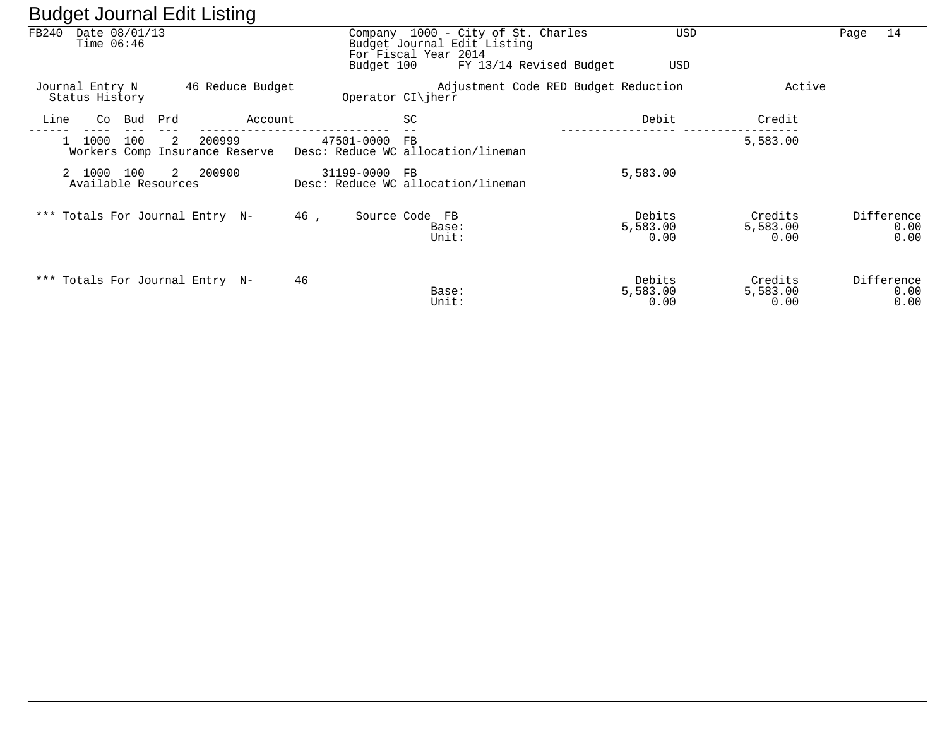|       | ັ                                 |     |     | ັ                                        |     |            |                                                                                           |                                      |                            |                             |      |                            |
|-------|-----------------------------------|-----|-----|------------------------------------------|-----|------------|-------------------------------------------------------------------------------------------|--------------------------------------|----------------------------|-----------------------------|------|----------------------------|
| FB240 | Date 08/01/13<br>Time $06:46$     |     |     |                                          |     |            | Company 1000 - City of St. Charles<br>Budget Journal Edit Listing<br>For Fiscal Year 2014 |                                      | <b>USD</b>                 |                             | Page | 14                         |
|       |                                   |     |     |                                          |     | Budget 100 |                                                                                           | FY 13/14 Revised Budget              | USD                        |                             |      |                            |
|       | Journal Entry N<br>Status History |     |     | 46 Reduce Budget                         |     |            | Operator CI\jherr                                                                         | Adjustment Code RED Budget Reduction |                            | Active                      |      |                            |
| Line  | Co                                | Bud | Prd | Account                                  |     |            | SC                                                                                        |                                      | Debit                      | Credit                      |      |                            |
|       | 1000                              | 100 | 2   | 200999<br>Workers Comp Insurance Reserve |     | 47501-0000 | FB<br>Desc: Reduce WC allocation/lineman                                                  |                                      |                            | 5,583.00                    |      |                            |
|       | 2 1000<br>Available Resources     | 100 | 2   | 200900                                   |     | 31199-0000 | <b>FB</b><br>Desc: Reduce WC allocation/lineman                                           |                                      | 5,583.00                   |                             |      |                            |
|       |                                   |     |     | *** Totals For Journal Entry N-          | 46, |            | Source Code FB<br>Base:<br>Unit:                                                          |                                      | Debits<br>5,583.00<br>0.00 | Credits<br>5,583.00<br>0.00 |      | Difference<br>0.00<br>0.00 |
|       |                                   |     |     | *** Totals For Journal Entry N-          | 46  |            | Base:<br>Unit:                                                                            |                                      | Debits<br>5,583.00<br>0.00 | Credits<br>5,583.00<br>0.00 |      | Difference<br>0.00<br>0.00 |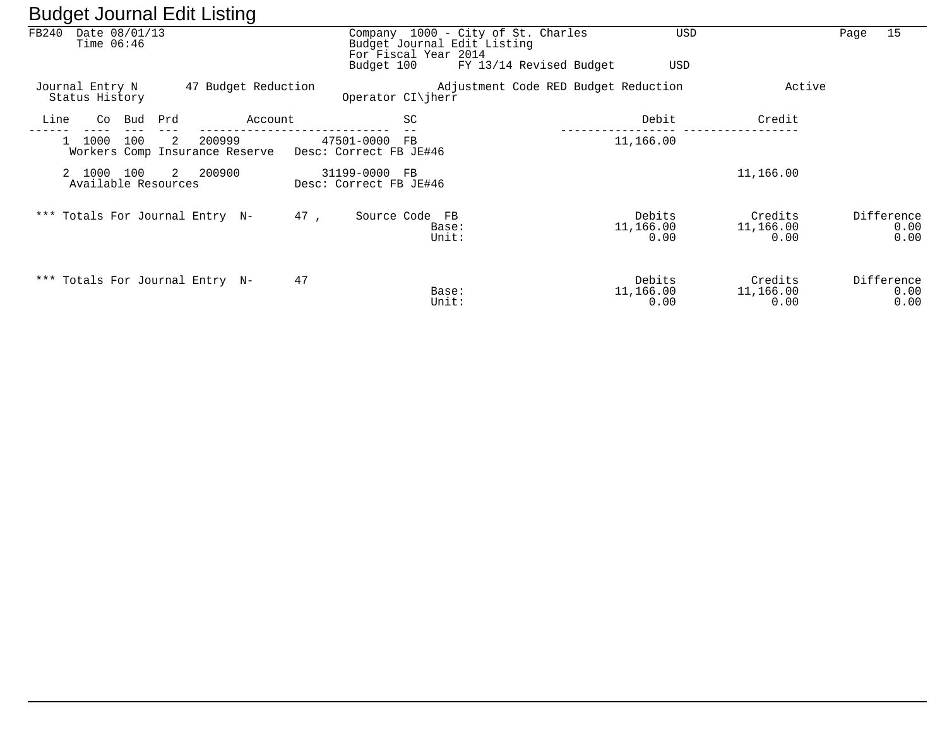| ັ                                      | ັ                                             |                                         |                                                                                           |                                      |                             |                              |                            |
|----------------------------------------|-----------------------------------------------|-----------------------------------------|-------------------------------------------------------------------------------------------|--------------------------------------|-----------------------------|------------------------------|----------------------------|
| FB240<br>Date 08/01/13<br>Time $06:46$ |                                               | Budget 100                              | Company 1000 - City of St. Charles<br>Budget Journal Edit Listing<br>For Fiscal Year 2014 | FY 13/14 Revised Budget              | USD<br>USD                  |                              | 15<br>Page                 |
| Journal Entry N<br>Status History      | 47 Budget Reduction                           |                                         | Operator $CI\$ iherr                                                                      | Adjustment Code RED Budget Reduction |                             | Active                       |                            |
| Line<br>Bud<br>Co                      | Prd<br>Account                                |                                         | SC                                                                                        |                                      | Debit                       | Credit                       |                            |
| 100<br>1000                            | 2<br>200999<br>Workers Comp Insurance Reserve | 47501-0000<br>Desc: Correct FB JE#46    | FB.                                                                                       |                                      | 11,166.00                   |                              |                            |
| 2 1000 100<br>Available Resources      | 2 200900                                      | 31199-0000 FB<br>Desc: Correct FB JE#46 |                                                                                           |                                      |                             | 11,166.00                    |                            |
| *** Totals For Journal Entry N-        |                                               | 47,                                     | Source Code FB<br>Base:<br>Unit:                                                          |                                      | Debits<br>11,166.00<br>0.00 | Credits<br>11,166.00<br>0.00 | Difference<br>0.00<br>0.00 |
| *** Totals For Journal Entry N-        |                                               | 47                                      | Base:<br>Unit:                                                                            |                                      | Debits<br>11,166.00<br>0.00 | Credits<br>11,166.00<br>0.00 | Difference<br>0.00<br>0.00 |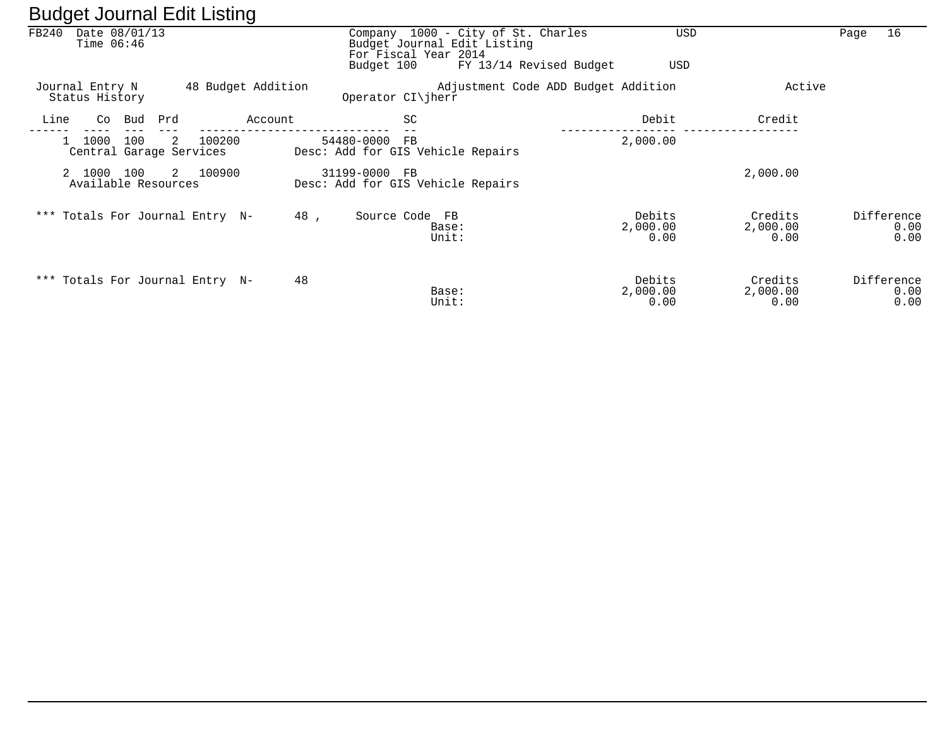|       |                                        |             | ີ                  |                                                                                                         |                                              |                             |                            |
|-------|----------------------------------------|-------------|--------------------|---------------------------------------------------------------------------------------------------------|----------------------------------------------|-----------------------------|----------------------------|
| FB240 | Date 08/01/13<br>Time $06:46$          |             |                    | Company 1000 - City of St. Charles<br>Budget Journal Edit Listing<br>For Fiscal Year 2014<br>Budget 100 | <b>USD</b><br>FY 13/14 Revised Budget<br>USD |                             | 16<br>Page                 |
|       | Journal Entry N<br>Status History      |             | 48 Budget Addition | Operator $CI\ $ herr                                                                                    | Adjustment Code ADD Budget Addition          | Active                      |                            |
| Line  | Co<br>Bud                              | Prd         | Account            | SC                                                                                                      | Debit                                        | Credit                      |                            |
|       | 1000<br>100<br>Central Garage Services | 100200<br>2 |                    | 54480-0000<br>$_{\rm FB}$<br>Desc: Add for GIS Vehicle Repairs                                          | 2,000.00                                     |                             |                            |
|       | 2 1000<br>100<br>Available Resources   | 2 100900    |                    | 31199-0000 FB<br>Desc: Add for GIS Vehicle Repairs                                                      |                                              | 2,000.00                    |                            |
|       | *** Totals For Journal Entry N-        |             | 48,                | Source Code FB<br>Base:<br>Unit:                                                                        | Debits<br>2,000.00<br>0.00                   | Credits<br>2,000.00<br>0.00 | Difference<br>0.00<br>0.00 |
|       | *** Totals For Journal Entry N-        |             | 48                 | Base:<br>Unit:                                                                                          | Debits<br>2,000.00<br>0.00                   | Credits<br>2,000.00<br>0.00 | Difference<br>0.00<br>0.00 |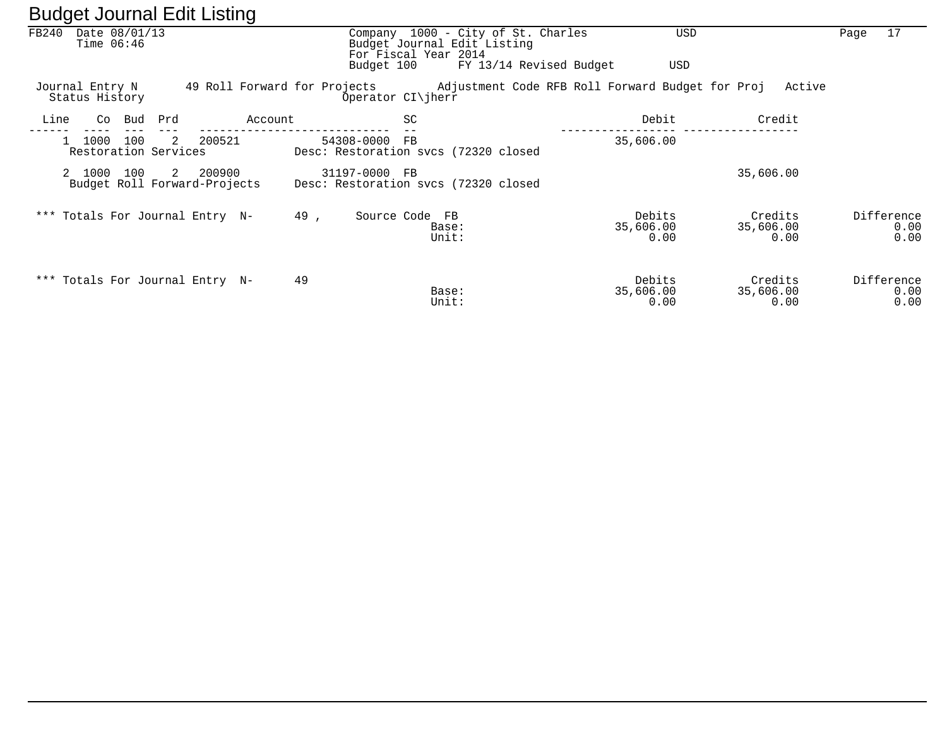|       | ັ                                             |            |          | ັ       |                                                       |                                                     |                                                               |                             |                                                                                        |                            |
|-------|-----------------------------------------------|------------|----------|---------|-------------------------------------------------------|-----------------------------------------------------|---------------------------------------------------------------|-----------------------------|----------------------------------------------------------------------------------------|----------------------------|
| FB240 | Date 08/01/13<br>Time $06:46$                 |            |          |         | Budget 100                                            | Budget Journal Edit Listing<br>For Fiscal Year 2014 | Company 1000 - City of St. Charles<br>FY 13/14 Revised Budget | USD<br>USD                  |                                                                                        | 17<br>Page                 |
|       |                                               |            |          |         |                                                       |                                                     |                                                               |                             |                                                                                        |                            |
|       | Journal Entry N<br>Status History             |            |          |         |                                                       | Operator CI\jherr                                   |                                                               |                             | 49 Roll Forward for Projects . Adjustment Code RFB Roll Forward Budget for Proj Active |                            |
| Line  | Co.                                           | Prd<br>Bud |          | Account |                                                       | <b>SC</b>                                           |                                                               | Debit                       | Credit                                                                                 |                            |
|       | 1000<br>Restoration Services                  | 100<br>2   | 200521   |         | 54308-0000<br>Desc: Restoration svcs (72320 closed    | FB                                                  |                                                               | 35,606.00                   |                                                                                        |                            |
|       | 2 1000<br>100<br>Budget Roll Forward-Projects |            | 2 200900 |         | 31197-0000 FB<br>Desc: Restoration svcs (72320 closed |                                                     |                                                               |                             | 35,606.00                                                                              |                            |
|       | *** Totals For Journal Entry N-               |            |          |         | 49,                                                   | Source Code FB<br>Base:<br>Unit:                    |                                                               | Debits<br>35,606.00<br>0.00 | Credits<br>35,606.00<br>0.00                                                           | Difference<br>0.00<br>0.00 |
|       | *** Totals For Journal Entry N-               |            |          |         | 49                                                    | Base:<br>Unit:                                      |                                                               | Debits<br>35,606.00<br>0.00 | Credits<br>35,606.00<br>0.00                                                           | Difference<br>0.00<br>0.00 |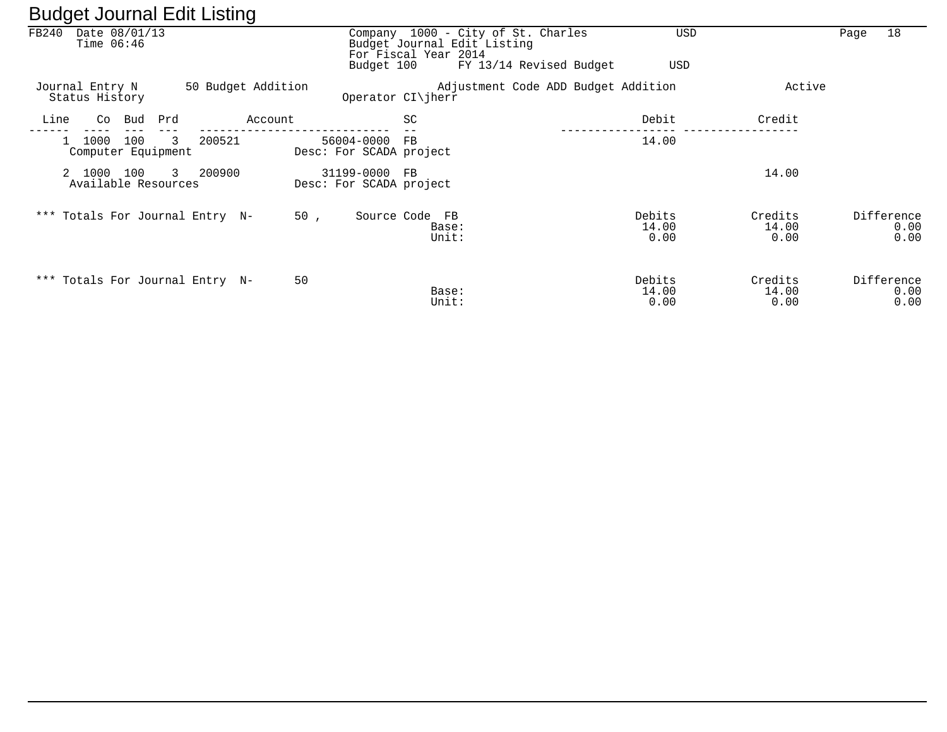| FB240 | Date 08/01/13<br>Time $06:46$                     |                                 |         | Budget 100                               | Company 1000 - City of St. Charles<br>Budget Journal Edit Listing<br>For Fiscal Year 2014<br>FY 13/14 Revised Budget |                                     | <b>USD</b><br>USD        | 18<br>Page                 |
|-------|---------------------------------------------------|---------------------------------|---------|------------------------------------------|----------------------------------------------------------------------------------------------------------------------|-------------------------------------|--------------------------|----------------------------|
|       | Journal Entry N<br>Status History                 | 50 Budget Addition              |         | Operator CI\jherr                        |                                                                                                                      | Adjustment Code ADD Budget Addition |                          | Active                     |
| Line  | Co Bud                                            | Prd                             | Account |                                          | SC                                                                                                                   | Debit                               | Credit                   |                            |
|       | 100<br>1000<br>$\mathbf{1}$<br>Computer Equipment | 200521<br>3                     |         | 56004-0000<br>Desc: For SCADA project    | FB                                                                                                                   | 14.00                               |                          |                            |
|       | 2 1000<br>100<br>Available Resources              | 200900<br>$\mathbf{3}$          |         | 31199-0000 FB<br>Desc: For SCADA project |                                                                                                                      |                                     | 14.00                    |                            |
|       |                                                   | *** Totals For Journal Entry N- | 50,     | Source Code FB                           | Base:<br>Unit:                                                                                                       | Debits<br>14.00<br>0.00             | Credits<br>14.00<br>0.00 | Difference<br>0.00<br>0.00 |
|       |                                                   | *** Totals For Journal Entry N- | 50      |                                          | Base:<br>Unit:                                                                                                       | Debits<br>14.00<br>0.00             | Credits<br>14.00<br>0.00 | Difference<br>0.00<br>0.00 |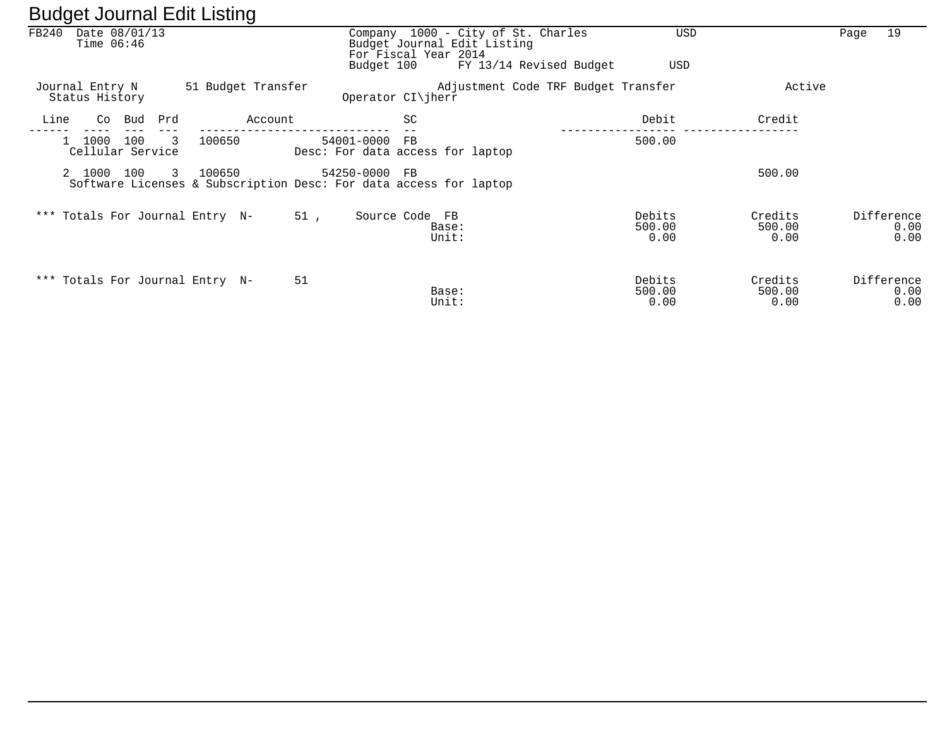| ັ                                      |                              | ັ                  |               |                                                                                           |                                     |                          |                           |                            |
|----------------------------------------|------------------------------|--------------------|---------------|-------------------------------------------------------------------------------------------|-------------------------------------|--------------------------|---------------------------|----------------------------|
| FB240<br>Date 08/01/13<br>Time $06:46$ |                              |                    |               | Company 1000 - City of St. Charles<br>Budget Journal Edit Listing<br>For Fiscal Year 2014 |                                     | <b>USD</b>               |                           | 19<br>Page                 |
|                                        |                              |                    | Budget 100    |                                                                                           | FY 13/14 Revised Budget             | USD                      |                           |                            |
| Journal Entry N<br>Status History      |                              | 51 Budget Transfer |               | Operator CI\jherr                                                                         | Adjustment Code TRF Budget Transfer |                          | Active                    |                            |
| Line<br>Co                             | Prd<br>Bud                   | Account            |               | SC                                                                                        |                                     | Debit                    | Credit                    |                            |
| 1000                                   | 3<br>100<br>Cellular Service | 100650             | 54001-0000    | FB<br>Desc: For data access for laptop                                                    |                                     | 500.00                   |                           |                            |
| 2 1000                                 | 100<br>3                     | 100650             | 54250-0000 FB | Software Licenses & Subscription Desc: For data access for laptop                         |                                     |                          | 500.00                    |                            |
| *** Totals For Journal Entry N-        |                              |                    | 51,           | Source Code FB<br>Base:<br>Unit:                                                          |                                     | Debits<br>500.00<br>0.00 | Credits<br>500.00<br>0.00 | Difference<br>0.00<br>0.00 |
| *** Totals For Journal Entry N-        |                              |                    | 51            | Base:<br>Unit:                                                                            |                                     | Debits<br>500.00<br>0.00 | Credits<br>500.00<br>0.00 | Difference<br>0.00<br>0.00 |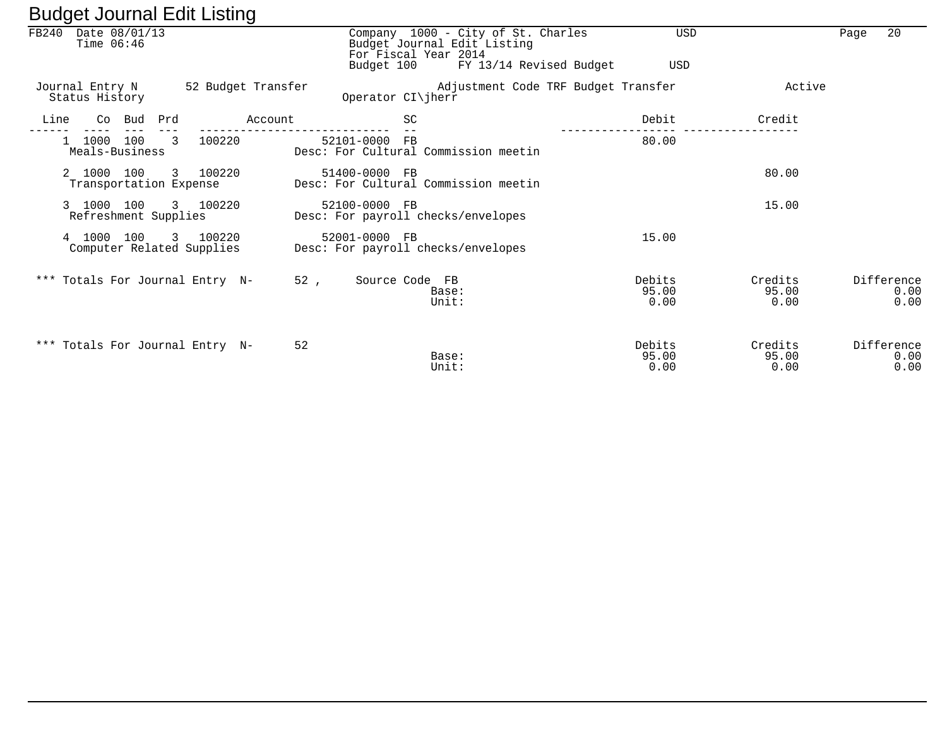|      | FB240 Date 08/01/13<br>Time $06:46$  |        |                          |                                       |                    | Company 1000 - City of St. Charles<br>Budget Journal Edit Listing<br>For Fiscal Year 2014<br>Budget 100 | <b>USD</b><br>USD       |                          | Page | 20                         |
|------|--------------------------------------|--------|--------------------------|---------------------------------------|--------------------|---------------------------------------------------------------------------------------------------------|-------------------------|--------------------------|------|----------------------------|
|      |                                      |        |                          |                                       |                    | FY 13/14 Revised Budget                                                                                 |                         |                          |      |                            |
|      | Journal Entry N<br>Status History    |        |                          |                                       | 52 Budget Transfer | Adjustment Code TRF Budget Transfer<br>Operator CI\jherr                                                |                         | Active                   |      |                            |
| Line |                                      | Co Bud | Prd                      |                                       | Account            | SC                                                                                                      | Debit                   | Credit                   |      |                            |
|      | 1000 100<br>Meals-Business           |        | $\overline{\phantom{a}}$ | 100220                                |                    | 52101-0000 FB<br>Desc: For Cultural Commission meetin                                                   | 80.00                   |                          |      |                            |
|      | 2 1000 100<br>Transportation Expense |        |                          | 3 100220                              |                    | 51400-0000 FB<br>Desc: For Cultural Commission meetin                                                   |                         | 80.00                    |      |                            |
|      | 3 1000 100<br>Refreshment Supplies   |        |                          | 3 100220                              |                    | 52100-0000 FB<br>Desc: For payroll checks/envelopes                                                     |                         | 15.00                    |      |                            |
|      | 4 1000                               | 100    |                          | 3 100220<br>Computer Related Supplies |                    | 52001-0000 FB<br>Desc: For payroll checks/envelopes                                                     | 15.00                   |                          |      |                            |
|      |                                      |        |                          | *** Totals For Journal Entry N-       |                    | 52,<br>Source Code FB<br>Base:<br>Unit:                                                                 | Debits<br>95.00<br>0.00 | Credits<br>95.00<br>0.00 |      | Difference<br>0.00<br>0.00 |
|      |                                      |        |                          | *** Totals For Journal Entry N-       | 52                 | Base:<br>Unit:                                                                                          | Debits<br>95.00<br>0.00 | Credits<br>95.00<br>0.00 |      | Difference<br>0.00<br>0.00 |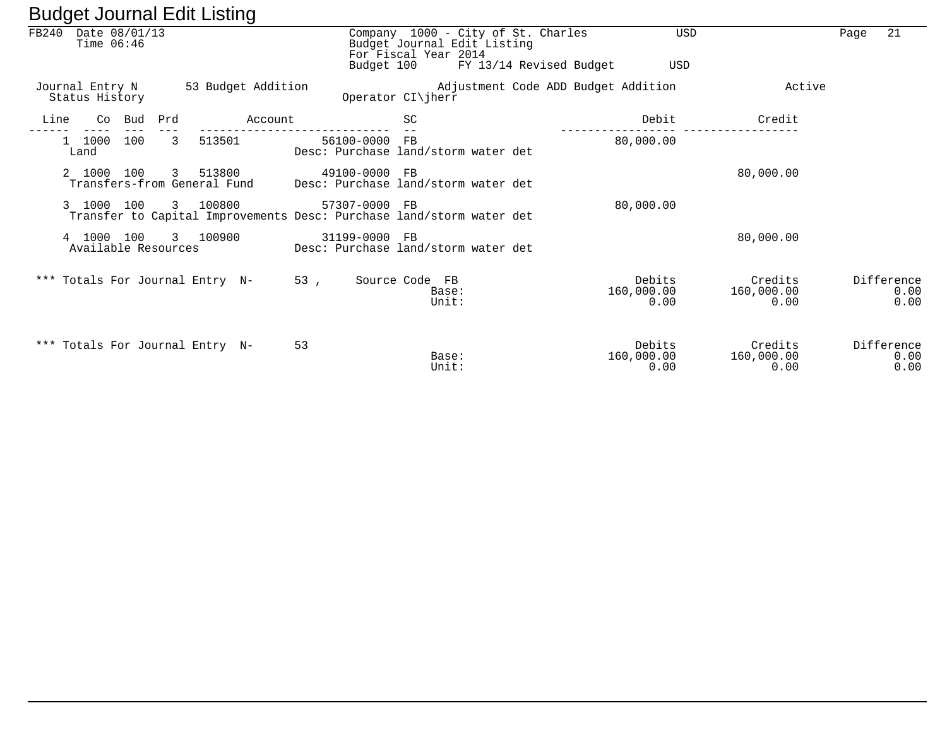|                                        |     | ັ                                       |                                                                                       |                                                     |                                    |                                     |                              |                               |      |                            |
|----------------------------------------|-----|-----------------------------------------|---------------------------------------------------------------------------------------|-----------------------------------------------------|------------------------------------|-------------------------------------|------------------------------|-------------------------------|------|----------------------------|
| Date 08/01/13<br>FB240<br>Time $06:46$ |     |                                         | Budget 100                                                                            | Budget Journal Edit Listing<br>For Fiscal Year 2014 | Company 1000 - City of St. Charles | FY 13/14 Revised Budget             | USD<br>USD                   |                               | Page | 21                         |
| Journal Entry N<br>Status History      |     | 53 Budget Addition                      |                                                                                       | Operator CI\jherr                                   |                                    | Adjustment Code ADD Budget Addition |                              | Active                        |      |                            |
| Line<br>Co<br>Bud                      | Prd | Account                                 |                                                                                       | SC                                                  |                                    |                                     | Debit                        | Credit                        |      |                            |
| 100<br>1 1000<br>Land                  | 3   | 513501                                  | 56100-0000 FB<br>Desc: Purchase land/storm water det                                  |                                                     |                                    |                                     | 80,000.00                    |                               |      |                            |
| 2 1000<br>100                          |     | 3 513800<br>Transfers-from General Fund | 49100-0000 FB<br>Desc: Purchase land/storm water det                                  |                                                     |                                    |                                     |                              | 80,000.00                     |      |                            |
| 3 1000 100                             |     | 3 100800                                | 57307-0000 FB<br>Transfer to Capital Improvements Desc: Purchase land/storm water det |                                                     |                                    |                                     | 80,000.00                    |                               |      |                            |
| 4 1000 100<br>Available Resources      |     | 3 100900                                | 31199-0000 FB<br>Desc: Purchase land/storm water det                                  |                                                     |                                    |                                     |                              | 80,000.00                     |      |                            |
| *** Totals For Journal Entry N-        |     |                                         | 53,                                                                                   | Source Code FB<br>Base:<br>Unit:                    |                                    |                                     | Debits<br>160,000.00<br>0.00 | Credits<br>160,000.00<br>0.00 |      | Difference<br>0.00<br>0.00 |
| *** Totals For Journal Entry N-        |     |                                         | 53                                                                                    | Base:<br>Unit:                                      |                                    |                                     | Debits<br>160,000.00<br>0.00 | Credits<br>160,000.00<br>0.00 |      | Difference<br>0.00<br>0.00 |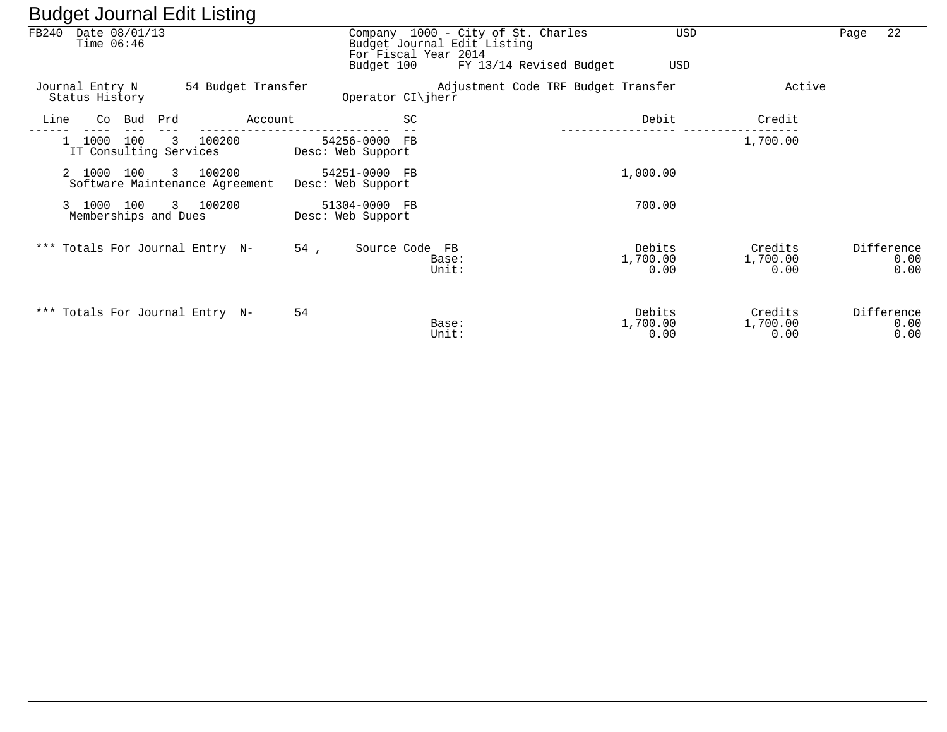| – – – – – – |                                                |        |     |                                            |         |     |                                    |    |                                                                                           |                            |                             |      |                            |
|-------------|------------------------------------------------|--------|-----|--------------------------------------------|---------|-----|------------------------------------|----|-------------------------------------------------------------------------------------------|----------------------------|-----------------------------|------|----------------------------|
| FB240       | Date 08/01/13<br>Time $06:46$                  |        |     |                                            |         |     |                                    |    | Company 1000 - City of St. Charles<br>Budget Journal Edit Listing<br>For Fiscal Year 2014 | USD                        |                             | Page | 22                         |
|             |                                                |        |     |                                            |         |     | Budget 100                         |    | FY 13/14 Revised Budget                                                                   | <b>USD</b>                 |                             |      |                            |
|             | Journal Entry N<br>Status History              |        |     | 54 Budget Transfer                         |         |     | Operator CI\jherr                  |    | Adjustment Code TRF Budget Transfer                                                       |                            | Active                      |      |                            |
| Line        |                                                | Co Bud | Prd |                                            | Account |     |                                    | SC |                                                                                           | Debit                      | Credit                      |      |                            |
|             | 1000<br>$\mathbf{1}$<br>IT Consulting Services | 100    | 3   | 100200                                     |         |     | 54256-0000 FB<br>Desc: Web Support |    |                                                                                           |                            | 1,700.00                    |      |                            |
|             | 2 1000 100                                     |        |     | 3 100200<br>Software Maintenance Agreement |         |     | 54251-0000 FB<br>Desc: Web Support |    |                                                                                           | 1,000.00                   |                             |      |                            |
|             | 3 1000 100<br>Memberships and Dues             |        |     | 3 100200                                   |         |     | 51304-0000 FB<br>Desc: Web Support |    |                                                                                           | 700.00                     |                             |      |                            |
|             | *** Totals For Journal Entry N-                |        |     |                                            |         | 54, | Source Code FB                     |    | Base:<br>Unit:                                                                            | Debits<br>1,700.00<br>0.00 | Credits<br>1,700.00<br>0.00 |      | Difference<br>0.00<br>0.00 |
|             | *** Totals For Journal Entry N-                |        |     |                                            |         | 54  |                                    |    | Base:<br>Unit:                                                                            | Debits<br>1,700.00<br>0.00 | Credits<br>1,700.00<br>0.00 |      | Difference<br>0.00<br>0.00 |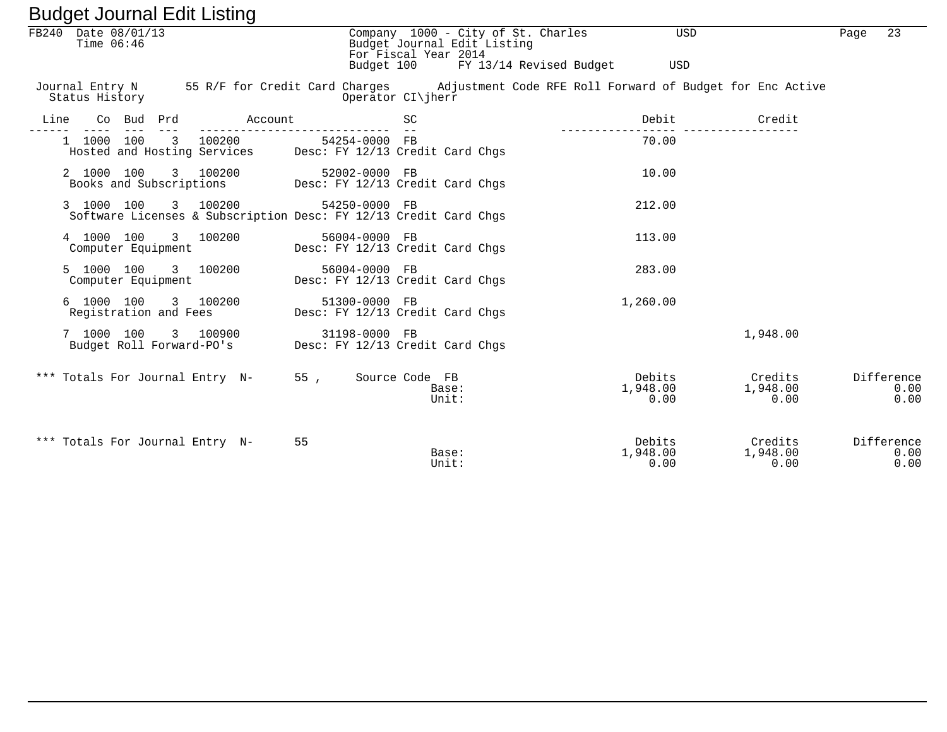| FB240 Date 08/01/13<br>Time $06:46$                                                                                        |                                                                                   | Company 1000 - City of St. Charles<br>Budget Journal Edit Listing<br>For Fiscal Year 2014 | <b>USD</b>                 |                             | 23<br>Page                 |
|----------------------------------------------------------------------------------------------------------------------------|-----------------------------------------------------------------------------------|-------------------------------------------------------------------------------------------|----------------------------|-----------------------------|----------------------------|
|                                                                                                                            |                                                                                   | Budget 100 FY 13/14 Revised Budget                                                        | USD                        |                             |                            |
| Journal Entry N 55 R/F for Credit Card Charges Adjustment Code RFE Roll Forward of Budget for Enc Active<br>Status History |                                                                                   | Operator CI\jherr                                                                         |                            |                             |                            |
| Line<br>Co Bud Prd                                                                                                         | Account                                                                           | SC                                                                                        | Debit                      | Credit                      |                            |
| 1 1000 100<br>3 100200                                                                                                     | 54254-0000 FB<br>Hosted and Hosting Services Desc: FY 12/13 Credit Card Chgs      |                                                                                           | 70.00                      |                             |                            |
| 2 1000 100<br>3 100200                                                                                                     | 52002-0000 FB<br>Books and Subscriptions Desc: FY 12/13 Credit Card Chgs          |                                                                                           | 10.00                      |                             |                            |
| 3 1000 100 3 100200                                                                                                        | 54250-0000 FB<br>Software Licenses & Subscription Desc: FY 12/13 Credit Card Chqs |                                                                                           | 212.00                     |                             |                            |
| 3 100200<br>4 1000 100<br>Computer Equipment                                                                               | 56004-0000 FB                                                                     | Desc: FY 12/13 Credit Card Chgs                                                           | 113.00                     |                             |                            |
| 5 1000 100<br>3 100200<br>Computer Equipment                                                                               | 56004-0000 FB                                                                     | Desc: FY 12/13 Credit Card Chgs                                                           | 283.00                     |                             |                            |
| 6 1000 100<br>3 100200<br>Registration and Fees                                                                            | 51300-0000 FB                                                                     | Desc: FY 12/13 Credit Card Chqs                                                           | 1,260.00                   |                             |                            |
| 7 1000 100<br>Budget Roll Forward-PO's                                                                                     | 3 100900<br>31198-0000 FB                                                         | Desc: FY 12/13 Credit Card Chgs                                                           |                            | 1,948.00                    |                            |
| *** Totals For Journal Entry N-                                                                                            | 55,                                                                               | Source Code FB<br>Base:<br>Unit:                                                          | Debits<br>1,948.00<br>0.00 | Credits<br>1,948.00<br>0.00 | Difference<br>0.00<br>0.00 |
| *** Totals For Journal Entry N-                                                                                            | 55                                                                                | Base:<br>Unit:                                                                            | Debits<br>1,948.00<br>0.00 | Credits<br>1,948.00<br>0.00 | Difference<br>0.00<br>0.00 |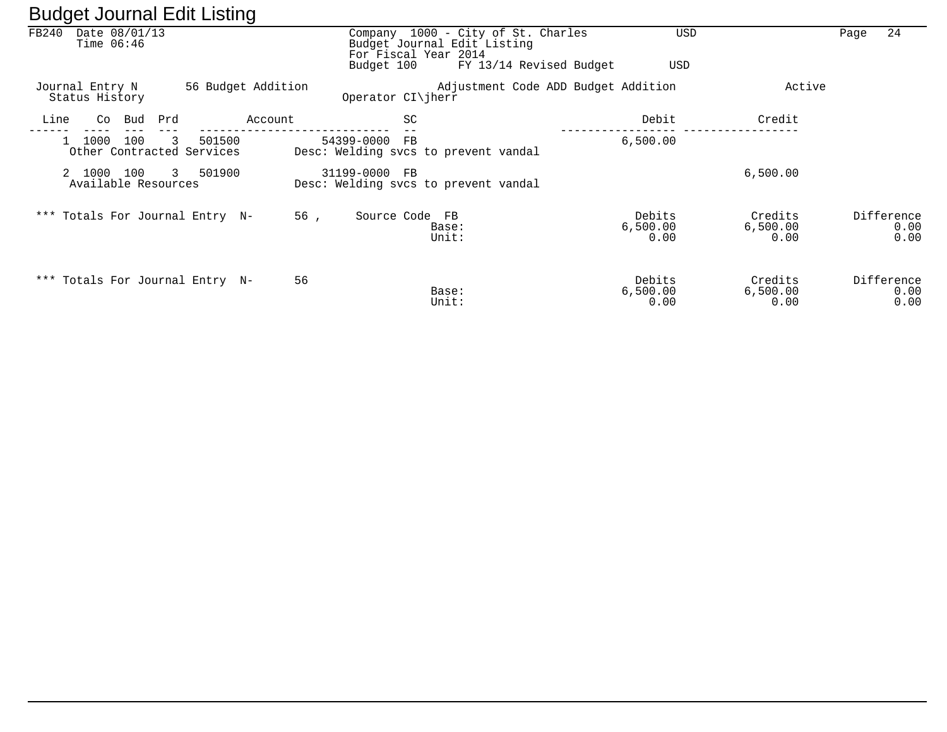| ັ               |                                   |                                          | ັ                  |                                                                   |                                                                   |                            |                             |                            |
|-----------------|-----------------------------------|------------------------------------------|--------------------|-------------------------------------------------------------------|-------------------------------------------------------------------|----------------------------|-----------------------------|----------------------------|
| FB240           | Date 08/01/13<br>Time $06:46$     |                                          |                    | For Fiscal Year 2014                                              | Company 1000 - City of St. Charles<br>Budget Journal Edit Listing | USD                        |                             | 24<br>Page                 |
|                 |                                   |                                          |                    | Budget 100                                                        | FY 13/14 Revised Budget                                           | USD                        |                             |                            |
| Journal Entry N | Status History                    |                                          | 56 Budget Addition | Operator $CI\ $ herr                                              | Adjustment Code ADD Budget Addition                               |                            | Active                      |                            |
| Line            | Bud<br>Co                         | Prd                                      | Account            | SC                                                                |                                                                   | Debit                      | Credit                      |                            |
|                 | 100<br>1000                       | 501500<br>3<br>Other Contracted Services |                    | 54399-0000<br>$_{\rm FB}$<br>Desc: Welding svcs to prevent vandal |                                                                   | 6,500.00                   |                             |                            |
|                 | 2 1000 100<br>Available Resources | 3 501900                                 |                    | 31199-0000 FB<br>Desc: Welding svcs to prevent vandal             |                                                                   |                            | 6,500.00                    |                            |
|                 |                                   | *** Totals For Journal Entry N-          | 56,                | Source Code FB                                                    | Base:<br>Unit:                                                    | Debits<br>6,500.00<br>0.00 | Credits<br>6,500.00<br>0.00 | Difference<br>0.00<br>0.00 |
|                 |                                   | *** Totals For Journal Entry N-          | 56                 |                                                                   | Base:<br>Unit:                                                    | Debits<br>6,500.00<br>0.00 | Credits<br>6,500.00<br>0.00 | Difference<br>0.00<br>0.00 |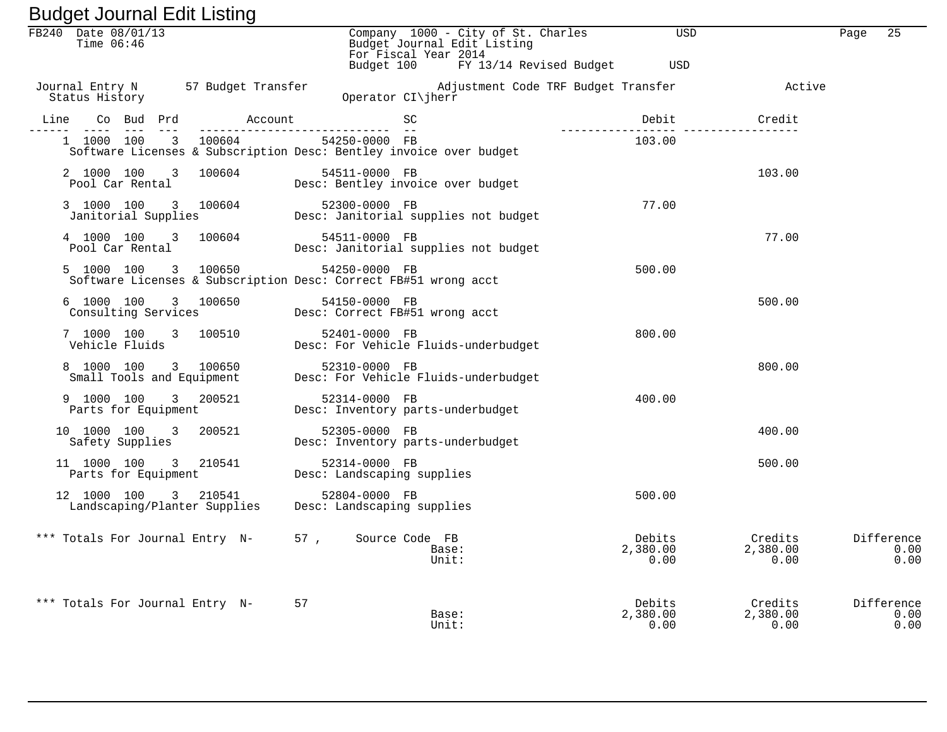| Baagot obannar Eant Elbanig                                                                   |                                                                                                                                           |                            |                             |                            |
|-----------------------------------------------------------------------------------------------|-------------------------------------------------------------------------------------------------------------------------------------------|----------------------------|-----------------------------|----------------------------|
| FB240 Date 08/01/13                                                                           | Company 1000 - City of St. Charles USD<br>Budget Journal Edit Listing<br>For Fiscal Year 2014                                             |                            |                             | 25<br>Page                 |
|                                                                                               | Budget 100 FY 13/14 Revised Budget USD                                                                                                    |                            |                             |                            |
|                                                                                               | Journal Entry N 57 Budget Transfer Majustment Code TRF Budget Transfer Active Active<br>CDerator CI\jherr Code TRF Budget Transfer Active |                            |                             |                            |
| Line<br>________________                                                                      |                                                                                                                                           | Debit                      | Credit                      |                            |
| 1 1000 100 3 100604 54250-0000 FB                                                             | Software Licenses & Subscription Desc: Bentley invoice over budget                                                                        | 103.00                     |                             |                            |
|                                                                                               | 2 1000 100 3 100604 54511-0000 FB<br>Pool Car Rental Besc: Bentley invoice over budget                                                    |                            | 103.00                      |                            |
|                                                                                               | 3 1000 100 3 100604 52300-0000 FB<br>Janitorial Supplies Desc: Janitorial supplies not budget                                             | 77.00                      |                             |                            |
|                                                                                               | 4 1000 100 3 100604 54511-0000 FB<br>Pool Car Rental                   Desc: Janitorial supplies not budget<br>54511-0000 FB              |                            | 77.00                       |                            |
| 5 1000 100 3 100650 54250-0000 FB                                                             | Software Licenses & Subscription Desc: Correct FB#51 wrong acct                                                                           | 500.00                     |                             |                            |
|                                                                                               | 6 1000 100 3 100650 54150-0000 FB<br>Consulting Services Desc: Correct FB#51 wrong acct                                                   |                            | 500.00                      |                            |
|                                                                                               | 7 1000 100 3 100510 52401-0000 FB<br>Tobiole Fluids Desc: For Vehicle Fluids-underbudget                                                  | 800.00                     |                             |                            |
|                                                                                               | 8 1000 100 3 100650 52310-0000 FB<br>Small Tools and Equipment Desc: For Vehicle Fluids-underbudget                                       |                            | 800.00                      |                            |
| 9 1000 100 3 200521<br>Parts for Equipment                                                    | 52314-0000 FB<br>Desc: Inventory parts-underbudget                                                                                        | 400.00                     |                             |                            |
| 10 1000 100 3 200521<br>Safety Supplies                                                       | 52305-0000 FB<br>Desc: Inventory parts-underbudget                                                                                        |                            | 400.00                      |                            |
| 11 1000 100 3 210541<br>Parts for Equipment                                                   | 52314-0000 FB<br>Desc: Landscaping supplies                                                                                               |                            | 500.00                      |                            |
| 12 1000 100 3 210541 52804-0000 FB<br>Landscaping/Planter Supplies Desc: Landscaping supplies |                                                                                                                                           | 500.00                     |                             |                            |
| *** Totals For Journal Entry N-                                                               | 57, Source Code FB<br>Base:<br>Unit:                                                                                                      | Debits<br>2,380.00<br>0.00 | Credits<br>2,380.00<br>0.00 | Difference<br>0.00<br>0.00 |
| *** Totals For Journal Entry N-                                                               | 57<br>Base:<br>Unit:                                                                                                                      | Debits<br>2,380.00<br>0.00 | Credits<br>2,380.00<br>0.00 | Difference<br>0.00<br>0.00 |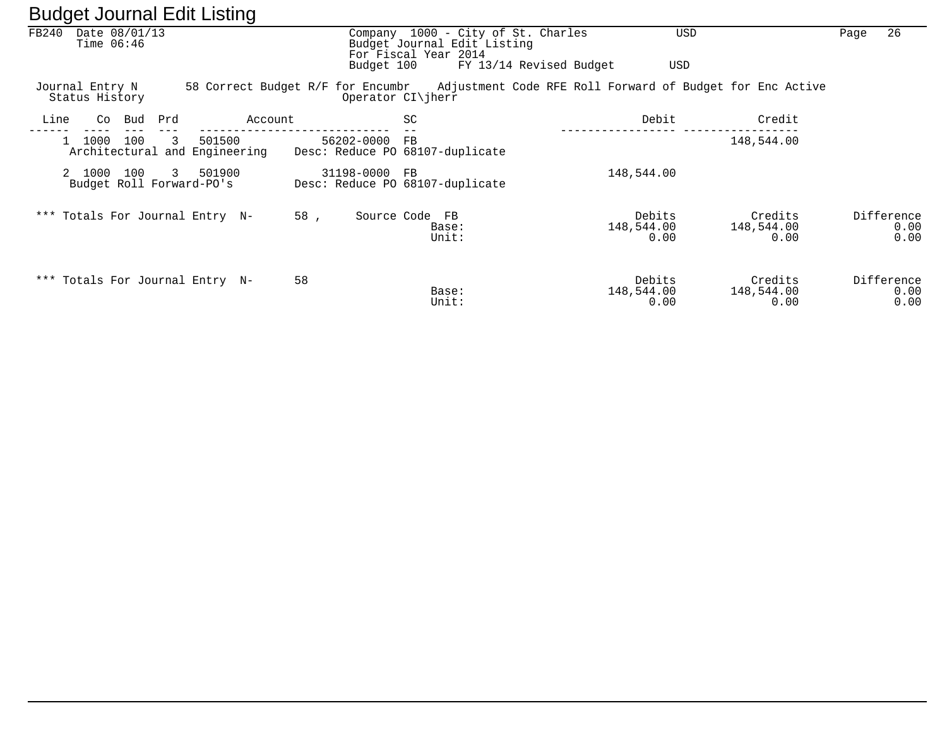|       | ັ                                  |     |              | ັ                                       |         |               |                                                                                           |                         |                              |                                                                                             |      |                            |
|-------|------------------------------------|-----|--------------|-----------------------------------------|---------|---------------|-------------------------------------------------------------------------------------------|-------------------------|------------------------------|---------------------------------------------------------------------------------------------|------|----------------------------|
| FB240 | Date 08/01/13<br>Time $06:46$      |     |              |                                         |         |               | Company 1000 - City of St. Charles<br>Budget Journal Edit Listing<br>For Fiscal Year 2014 |                         |                              | USD                                                                                         | Page | 26                         |
|       |                                    |     |              |                                         |         | Budget 100    |                                                                                           | FY 13/14 Revised Budget | USD                          |                                                                                             |      |                            |
|       | Journal Entry N<br>Status History  |     |              |                                         |         |               | Operator CI\jherr                                                                         |                         |                              | 58 Correct Budget R/F for Encumbr Adjustment Code RFE Roll Forward of Budget for Enc Active |      |                            |
| Line  | Co                                 | Bud | Prd          |                                         | Account |               | SC                                                                                        |                         | Debit                        | Credit                                                                                      |      |                            |
|       | 1000                               | 100 | 3            | 501500<br>Architectural and Engineering |         | 56202-0000    | FB<br>Desc: Reduce PO 68107-duplicate                                                     |                         |                              | 148,544.00                                                                                  |      |                            |
|       | 2 1000<br>Budget Roll Forward-PO's | 100 | $\mathbf{3}$ | 501900                                  |         | 31198-0000 FB | Desc: Reduce PO 68107-duplicate                                                           |                         | 148,544.00                   |                                                                                             |      |                            |
|       |                                    |     |              | *** Totals For Journal Entry N-         | 58.     | Source Code   | <b>FB</b><br>Base:<br>Unit:                                                               |                         | Debits<br>148,544.00<br>0.00 | Credits<br>148,544.00<br>0.00                                                               |      | Difference<br>0.00<br>0.00 |
|       |                                    |     |              | *** Totals For Journal Entry N-         | 58      |               | Base:<br>Unit:                                                                            |                         | Debits<br>148,544.00<br>0.00 | Credits<br>148,544.00<br>0.00                                                               |      | Difference<br>0.00<br>0.00 |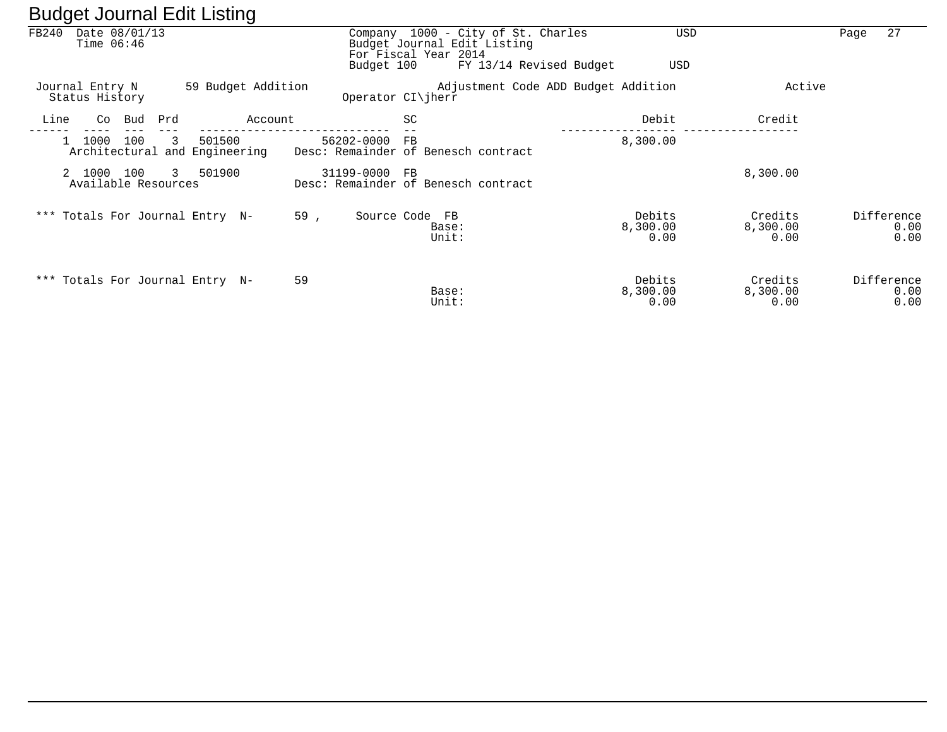|       | ັ                                 | ັ                                            |               |                                                                                           |                                     |                             |                            |
|-------|-----------------------------------|----------------------------------------------|---------------|-------------------------------------------------------------------------------------------|-------------------------------------|-----------------------------|----------------------------|
| FB240 | Date 08/01/13<br>Time $06:46$     |                                              |               | Company 1000 - City of St. Charles<br>Budget Journal Edit Listing<br>For Fiscal Year 2014 | <b>USD</b>                          |                             | 27<br>Page                 |
|       |                                   |                                              | Budget 100    | FY 13/14 Revised Budget                                                                   | USD                                 |                             |                            |
|       | Journal Entry N<br>Status History | 59 Budget Addition                           |               | Operator $CI\$ iherr                                                                      | Adjustment Code ADD Budget Addition | Active                      |                            |
| Line  | Bud<br>Co                         | Prd<br>Account                               |               | SC                                                                                        | Debit                               | Credit                      |                            |
|       | 1000<br>100                       | 501500<br>3<br>Architectural and Engineering | 56202-0000    | FB<br>Desc: Remainder of Benesch contract                                                 | 8,300.00                            |                             |                            |
|       | 2 1000 100<br>Available Resources | 3 501900                                     | 31199-0000 FB | Desc: Remainder of Benesch contract                                                       |                                     | 8,300.00                    |                            |
|       |                                   | *** Totals For Journal Entry N-              | 59,           | Source Code FB<br>Base:<br>Unit:                                                          | Debits<br>8,300.00<br>0.00          | Credits<br>8,300.00<br>0.00 | Difference<br>0.00<br>0.00 |
|       |                                   | *** Totals For Journal Entry N-              | 59            | Base:<br>Unit:                                                                            | Debits<br>8,300.00<br>0.00          | Credits<br>8,300.00<br>0.00 | Difference<br>0.00<br>0.00 |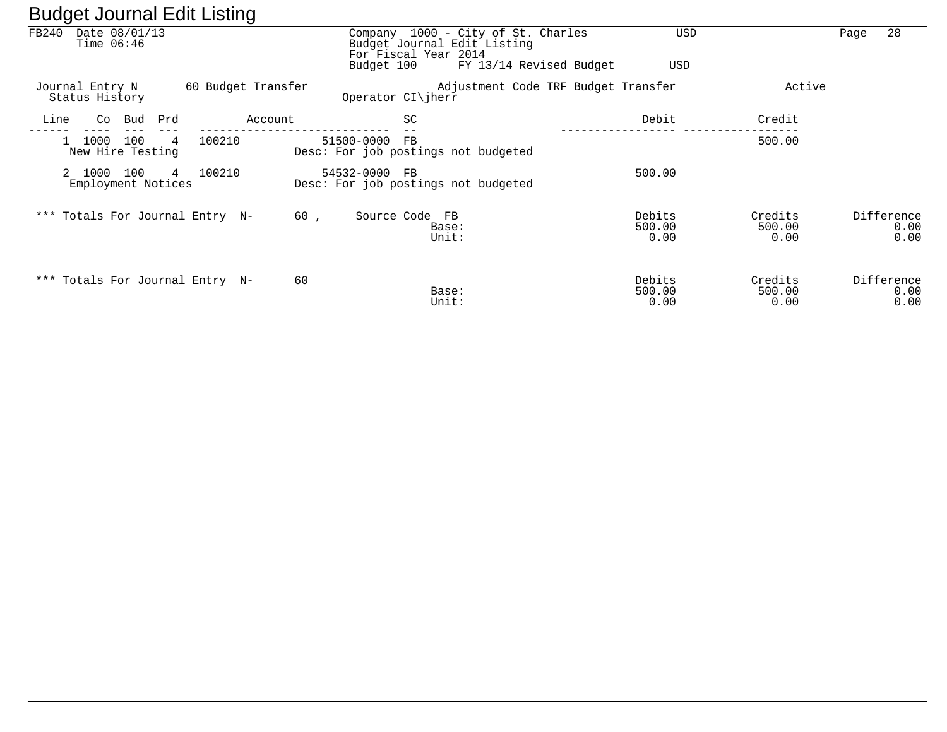| ີ     |                                     |     |        | ີ                  |                                                          |                                                                                              |                          |                           |            |              |
|-------|-------------------------------------|-----|--------|--------------------|----------------------------------------------------------|----------------------------------------------------------------------------------------------|--------------------------|---------------------------|------------|--------------|
| FB240 | Date 08/01/13<br>Time $06:46$       |     |        |                    | For Fiscal Year 2014<br>Budget 100                       | Company 1000 - City of St. Charles<br>Budget Journal Edit Listing<br>FY 13/14 Revised Budget | USD                      | <b>USD</b>                | Page       | 28           |
|       | Journal Entry N                     |     |        | 60 Budget Transfer |                                                          | Adjustment Code TRF Budget Transfer                                                          |                          | Active                    |            |              |
|       | Status History                      |     |        |                    | Operator CI\jherr                                        |                                                                                              |                          |                           |            |              |
| Line  | Bud<br>Co                           | Prd |        | Account            | SC                                                       |                                                                                              | Debit                    | Credit                    |            |              |
|       | 1000<br>100<br>New Hire Testing     | 4   | 100210 |                    | 51500-0000<br>FB.<br>Desc: For job postings not budgeted |                                                                                              |                          | 500.00                    |            |              |
|       | 2 1000<br>100<br>Employment Notices | 4   | 100210 |                    | 54532-0000<br>FB.<br>Desc: For job postings not budgeted |                                                                                              | 500.00                   |                           |            |              |
|       | *** Totals For Journal Entry N-     |     |        | 60,                | Source Code FB                                           | Base:<br>Unit:                                                                               | Debits<br>500.00<br>0.00 | Credits<br>500.00<br>0.00 | Difference | 0.00<br>0.00 |
|       | *** Totals For Journal Entry N-     |     |        | 60                 |                                                          | Base:<br>Unit:                                                                               | Debits<br>500.00<br>0.00 | Credits<br>500.00<br>0.00 | Difference | 0.00<br>0.00 |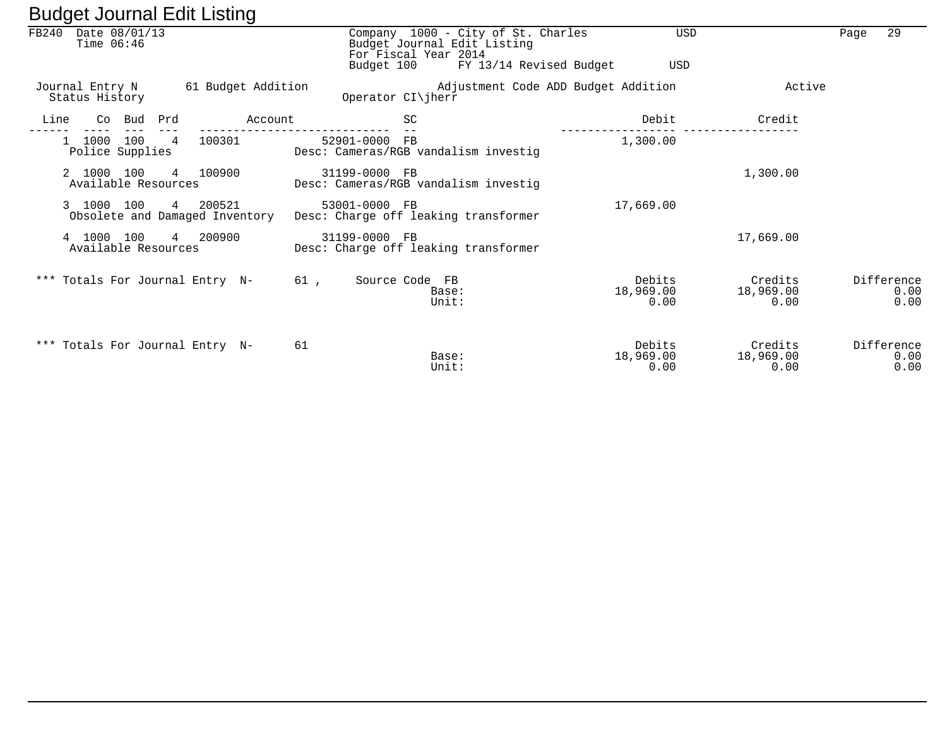| ັ                                             | ັ                  |                                                                                                                                 |                             |                              |                            |
|-----------------------------------------------|--------------------|---------------------------------------------------------------------------------------------------------------------------------|-----------------------------|------------------------------|----------------------------|
| FB240<br>Date 08/01/13<br>Time $06:46$        |                    | Company 1000 - City of St. Charles<br>Budget Journal Edit Listing<br>For Fiscal Year 2014<br>Budget 100 FY 13/14 Revised Budget | USD<br>USD                  |                              | 29<br>Page                 |
| Journal Entry N<br>Status History             | 61 Budget Addition | Adjustment Code ADD Budget Addition<br>Operator CI\jherr                                                                        |                             | Active                       |                            |
| Co Bud Prd<br>Line                            | Account            | <b>SC</b>                                                                                                                       | Debit                       | Credit                       |                            |
| 1000 100<br>$\overline{4}$<br>Police Supplies | 100301             | 52901-0000 FB<br>Desc: Cameras/RGB vandalism investig                                                                           | 1,300.00                    |                              |                            |
| 2 1000 100<br>Available Resources             | 4 100900           | 31199-0000 FB<br>Desc: Cameras/RGB vandalism investig                                                                           |                             | 1,300.00                     |                            |
| 3 1000 100<br>Obsolete and Damaged Inventory  | 4 200521           | 53001-0000 FB<br>Desc: Charge off leaking transformer                                                                           | 17,669.00                   |                              |                            |
| 4 1000 100<br>Available Resources             | 4 200900           | 31199-0000 FB<br>Desc: Charge off leaking transformer                                                                           |                             | 17,669.00                    |                            |
| *** Totals For Journal Entry N-               |                    | 61 ,<br>Source Code FB<br>Base:<br>Unit:                                                                                        | Debits<br>18,969.00<br>0.00 | Credits<br>18,969.00<br>0.00 | Difference<br>0.00<br>0.00 |
| *** Totals For Journal Entry N-               | 61                 | Base:<br>Unit:                                                                                                                  | Debits<br>18,969.00<br>0.00 | Credits<br>18,969.00<br>0.00 | Difference<br>0.00<br>0.00 |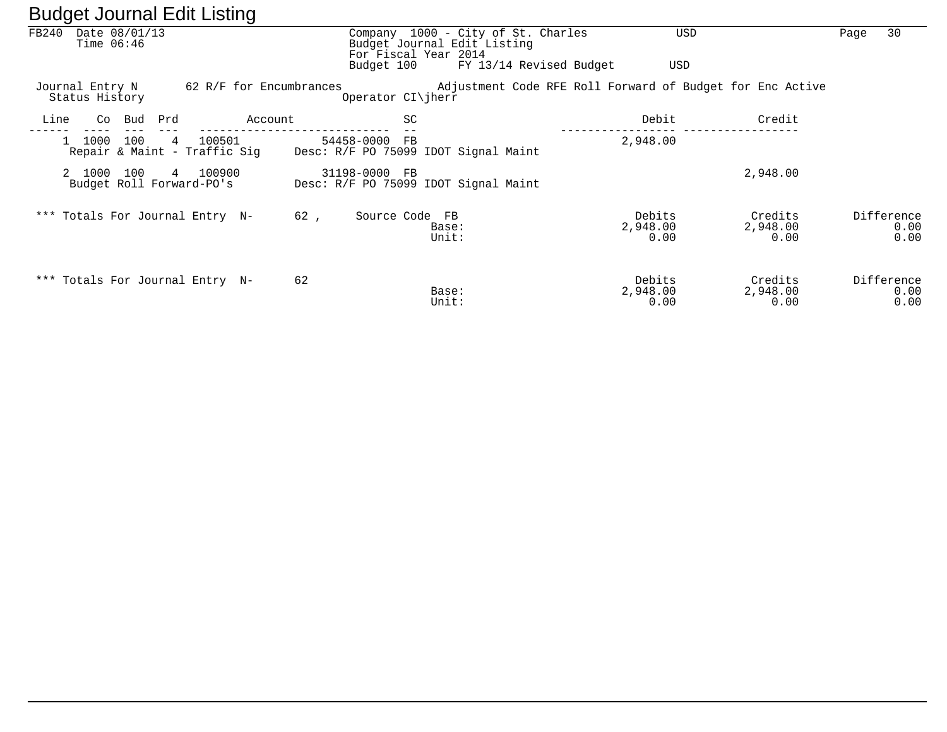|       |                                   |        |     | ີ                                      |     |                         |                                                                                           |                            |                                                           |      |                            |
|-------|-----------------------------------|--------|-----|----------------------------------------|-----|-------------------------|-------------------------------------------------------------------------------------------|----------------------------|-----------------------------------------------------------|------|----------------------------|
| FB240 | Date 08/01/13<br>Time $06:46$     |        |     |                                        |     |                         | Company 1000 - City of St. Charles<br>Budget Journal Edit Listing<br>For Fiscal Year 2014 | <b>USD</b>                 |                                                           | Page | 30                         |
|       |                                   |        |     |                                        |     | Budget 100              | FY 13/14 Revised Budget                                                                   | USD                        |                                                           |      |                            |
|       | Journal Entry N<br>Status History |        |     | 62 R/F for Encumbrances                |     | Operator $CI\ $ herr    |                                                                                           |                            | Adjustment Code RFE Roll Forward of Budget for Enc Active |      |                            |
| Line  |                                   | Co Bud | Prd | Account                                |     | SC                      |                                                                                           | Debit                      | Credit                                                    |      |                            |
|       | 1000                              | 100    | 4   | 100501<br>Repair & Maint - Traffic Sig |     | 54458-0000<br><b>FB</b> | Desc: R/F PO 75099 IDOT Signal Maint                                                      | 2,948.00                   |                                                           |      |                            |
|       | 2 1000                            | 100    |     | 4 100900<br>Budget Roll Forward-PO's   |     | 31198-0000 FB           | Desc: R/F PO 75099 IDOT Signal Maint                                                      |                            | 2,948.00                                                  |      |                            |
|       |                                   |        |     | *** Totals For Journal Entry N-        | 62, | Source Code FB          | Base:<br>Unit:                                                                            | Debits<br>2,948.00<br>0.00 | Credits<br>2,948.00<br>0.00                               |      | Difference<br>0.00<br>0.00 |
|       |                                   |        |     | *** Totals For Journal Entry N-        | 62  |                         | Base:<br>Unit:                                                                            | Debits<br>2,948.00<br>0.00 | Credits<br>2,948.00<br>0.00                               |      | Difference<br>0.00<br>0.00 |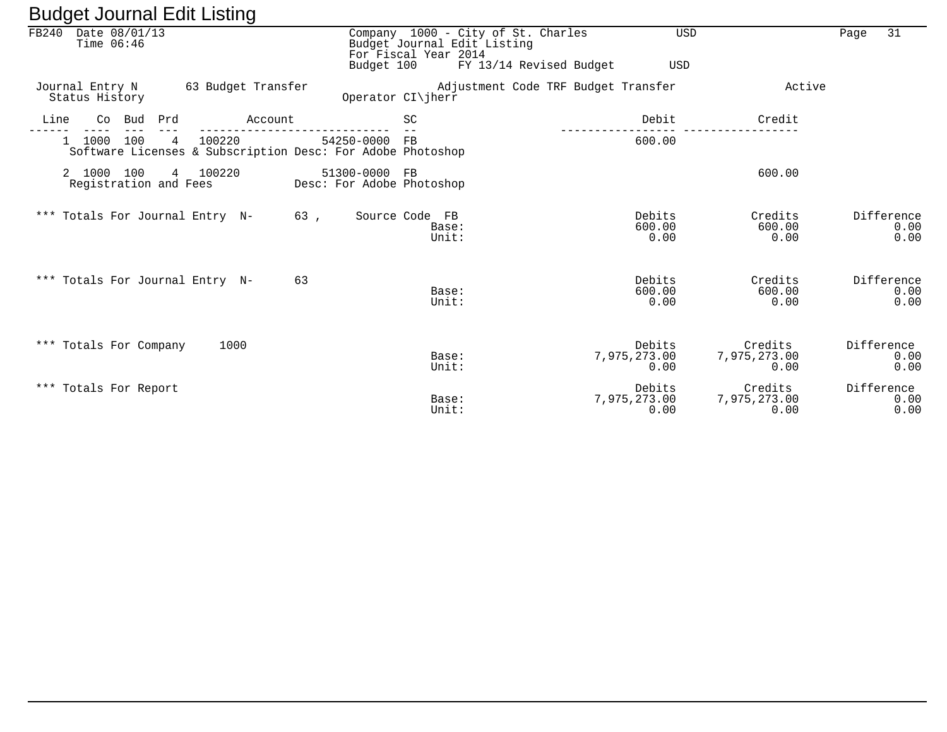|       | $-$ a agor $ -$ and $     -$        |            |   |                                                                      |         |     |                                            |                      |                                                                   |                                |                                 |                            |
|-------|-------------------------------------|------------|---|----------------------------------------------------------------------|---------|-----|--------------------------------------------|----------------------|-------------------------------------------------------------------|--------------------------------|---------------------------------|----------------------------|
| FB240 | Date 08/01/13<br>Time $06:46$       |            |   |                                                                      |         |     |                                            | For Fiscal Year 2014 | Company 1000 - City of St. Charles<br>Budget Journal Edit Listing | <b>USD</b>                     |                                 | 31<br>Page                 |
|       |                                     |            |   |                                                                      |         |     | Budget 100                                 |                      | FY 13/14 Revised Budget                                           | USD                            |                                 |                            |
|       | Status History                      |            |   | Journal Entry N 63 Budget Transfer                                   |         |     | Operator CI\jherr                          |                      | Adjustment Code TRF Budget Transfer                               |                                | Active                          |                            |
| Line  |                                     | Co Bud Prd |   |                                                                      | Account |     |                                            | <b>SC</b>            |                                                                   | Debit                          | Credit                          |                            |
|       | 1000 100                            |            | 4 | 100220<br>Software Licenses & Subscription Desc: For Adobe Photoshop |         |     | 54250-0000 FB                              |                      |                                                                   | 600.00                         |                                 |                            |
|       | 2 1000 100<br>Registration and Fees |            | 4 | 100220                                                               |         |     | 51300-0000 FB<br>Desc: For Adobe Photoshop |                      |                                                                   |                                | 600.00                          |                            |
|       |                                     |            |   | *** Totals For Journal Entry N-                                      |         | 63, |                                            | Source Code FB       | Base:<br>Unit:                                                    | Debits<br>600.00<br>0.00       | Credits<br>600.00<br>0.00       | Difference<br>0.00<br>0.00 |
|       |                                     |            |   | *** Totals For Journal Entry N-                                      |         | 63  |                                            |                      | Base:<br>Unit:                                                    | Debits<br>600.00<br>0.00       | Credits<br>600.00<br>0.00       | Difference<br>0.00<br>0.00 |
|       | *** Totals For Company              |            |   | 1000                                                                 |         |     |                                            |                      | Base:<br>Unit:                                                    | Debits<br>7,975,273.00<br>0.00 | Credits<br>7,975,273.00<br>0.00 | Difference<br>0.00<br>0.00 |
|       | *** Totals For Report               |            |   |                                                                      |         |     |                                            |                      | Base:<br>Unit:                                                    | Debits<br>7,975,273.00<br>0.00 | Credits<br>7,975,273.00<br>0.00 | Difference<br>0.00<br>0.00 |